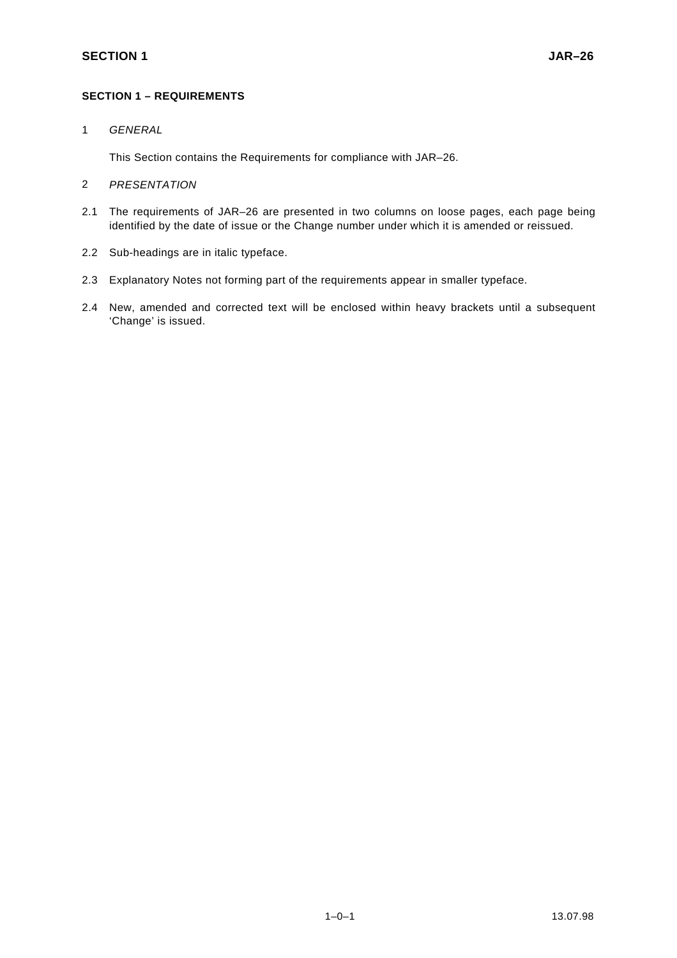## **SECTION 1 – REQUIREMENTS**

1 *GENERAL*

This Section contains the Requirements for compliance with JAR–26.

- 2 *PRESENTATION*
- 2.1 The requirements of JAR–26 are presented in two columns on loose pages, each page being identified by the date of issue or the Change number under which it is amended or reissued.
- 2.2 Sub-headings are in italic typeface.
- 2.3 Explanatory Notes not forming part of the requirements appear in smaller typeface.
- 2.4 New, amended and corrected text will be enclosed within heavy brackets until a subsequent 'Change' is issued.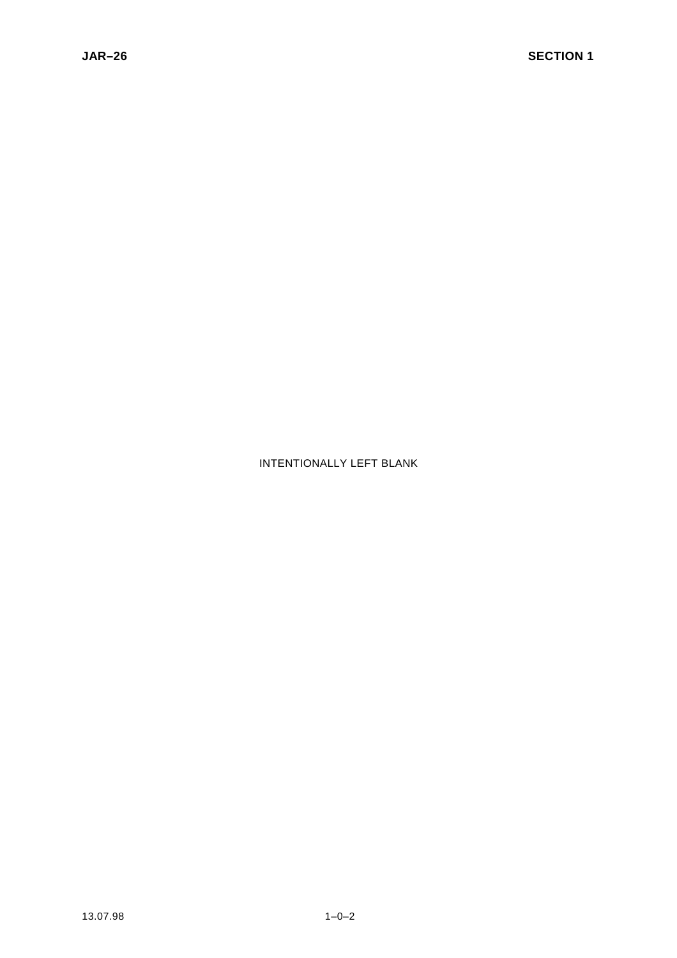# INTENTIONALLY LEFT BLANK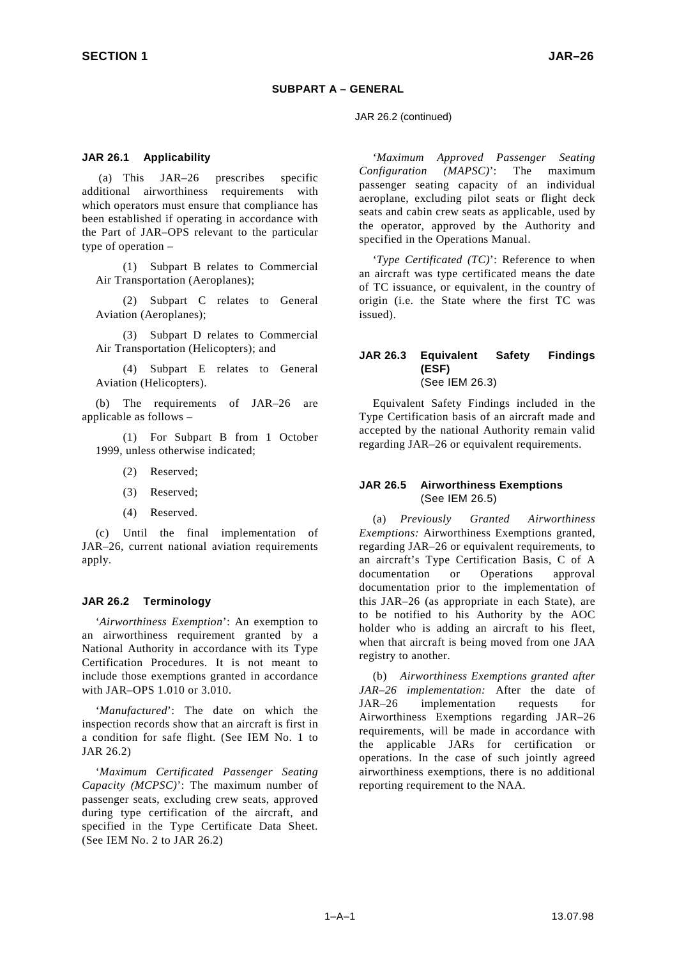#### **SUBPART A – GENERAL**

#### JAR 26.2 (continued)

#### **JAR 26.1 Applicability**

 (a) This JAR–26 prescribes specific additional airworthiness requirements with which operators must ensure that compliance has been established if operating in accordance with the Part of JAR–OPS relevant to the particular type of operation –

(1) Subpart B relates to Commercial Air Transportation (Aeroplanes);

(2) Subpart C relates to General Aviation (Aeroplanes);

(3) Subpart D relates to Commercial Air Transportation (Helicopters); and

(4) Subpart E relates to General Aviation (Helicopters).

(b) The requirements of JAR–26 are applicable as follows –

(1) For Subpart B from 1 October 1999, unless otherwise indicated;

- (2) Reserved;
- (3) Reserved;
- (4) Reserved.

(c) Until the final implementation of JAR–26, current national aviation requirements apply.

#### **JAR 26.2 Terminology**

'*Airworthiness Exemption*': An exemption to an airworthiness requirement granted by a National Authority in accordance with its Type Certification Procedures. It is not meant to include those exemptions granted in accordance with JAR–OPS 1.010 or 3.010.

'*Manufactured*': The date on which the inspection records show that an aircraft is first in a condition for safe flight. (See IEM No. 1 to JAR 26.2)

'*Maximum Certificated Passenger Seating Capacity (MCPSC)*': The maximum number of passenger seats, excluding crew seats, approved during type certification of the aircraft, and specified in the Type Certificate Data Sheet. (See IEM No. 2 to JAR 26.2)

'*Maximum Approved Passenger Seating Configuration (MAPSC)*': The maximum passenger seating capacity of an individual aeroplane, excluding pilot seats or flight deck seats and cabin crew seats as applicable, used by the operator, approved by the Authority and specified in the Operations Manual.

'*Type Certificated (TC)*': Reference to when an aircraft was type certificated means the date of TC issuance, or equivalent, in the country of origin (i.e. the State where the first TC was issued).

#### **JAR 26.3 Equivalent Safety Findings (ESF)** (See IEM 26.3)

Equivalent Safety Findings included in the Type Certification basis of an aircraft made and accepted by the national Authority remain valid regarding JAR–26 or equivalent requirements.

#### **JAR 26.5 Airworthiness Exemptions** (See IEM 26.5)

(a) *Previously Granted Airworthiness Exemptions:* Airworthiness Exemptions granted, regarding JAR–26 or equivalent requirements, to an aircraft's Type Certification Basis, C of A documentation or Operations approval documentation prior to the implementation of this JAR–26 (as appropriate in each State), are to be notified to his Authority by the AOC holder who is adding an aircraft to his fleet, when that aircraft is being moved from one JAA registry to another.

(b) *Airworthiness Exemptions granted after JAR–26 implementation:* After the date of JAR–26 implementation requests for Airworthiness Exemptions regarding JAR–26 requirements, will be made in accordance with the applicable JARs for certification or operations. In the case of such jointly agreed airworthiness exemptions, there is no additional reporting requirement to the NAA.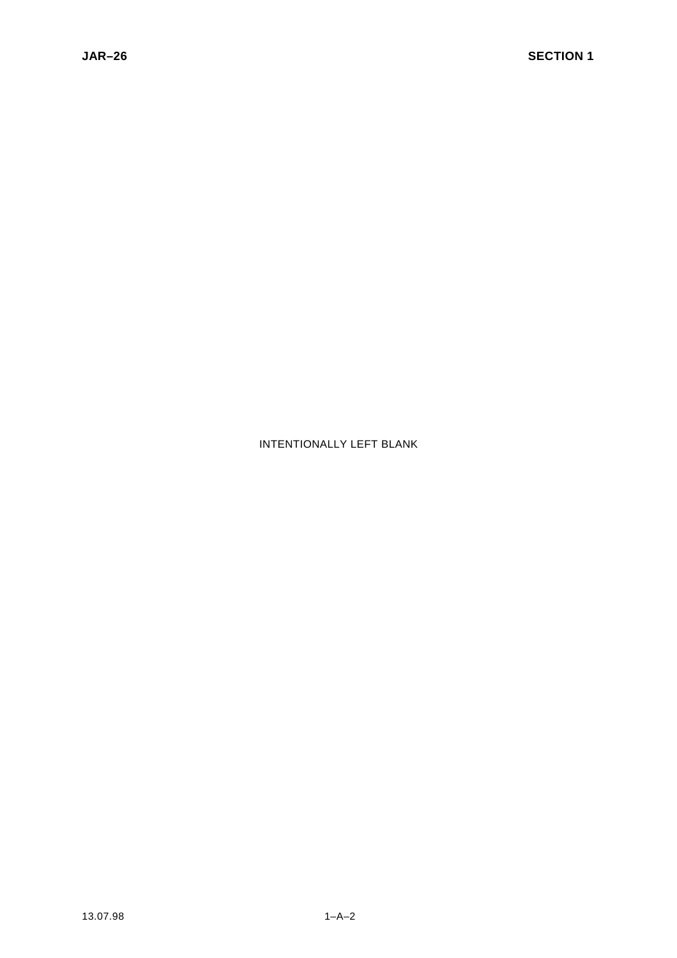## INTENTIONALLY LEFT BLANK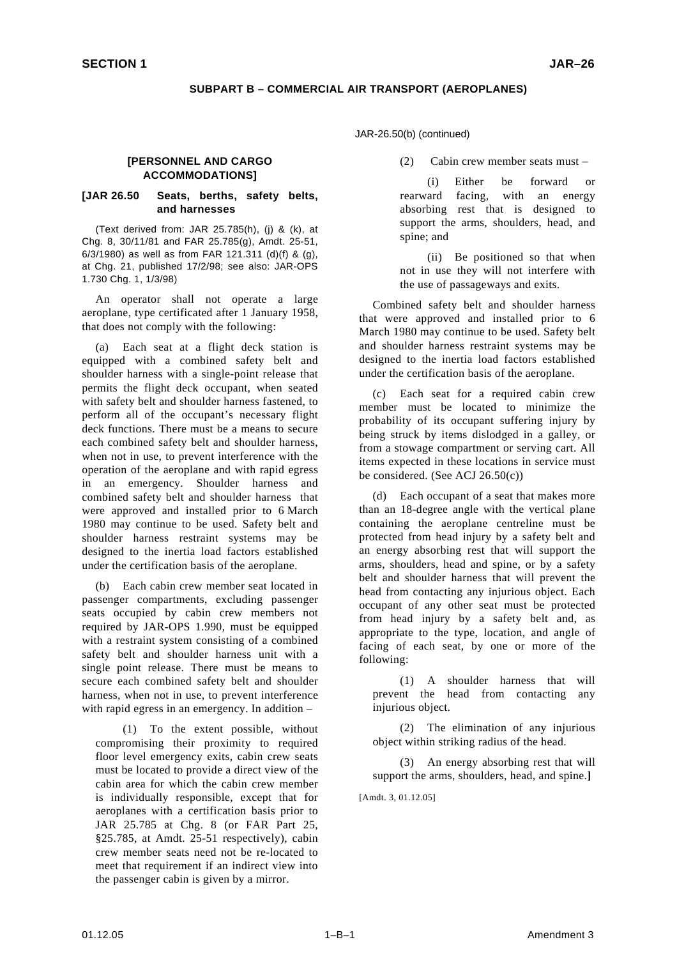#### **SUBPART B – COMMERCIAL AIR TRANSPORT (AEROPLANES)**

#### **[PERSONNEL AND CARGO ACCOMMODATIONS]**

#### **[JAR 26.50 Seats, berths, safety belts, and harnesses**

(Text derived from: JAR 25.785(h), (j) & (k), at Chg. 8, 30/11/81 and FAR 25.785(g), Amdt. 25-51, 6/3/1980) as well as from FAR 121.311 (d)(f) & (g), at Chg. 21, published 17/2/98; see also: JAR-OPS 1.730 Chg. 1, 1/3/98)

An operator shall not operate a large aeroplane, type certificated after 1 January 1958, that does not comply with the following:

(a) Each seat at a flight deck station is equipped with a combined safety belt and shoulder harness with a single-point release that permits the flight deck occupant, when seated with safety belt and shoulder harness fastened, to perform all of the occupant's necessary flight deck functions. There must be a means to secure each combined safety belt and shoulder harness, when not in use, to prevent interference with the operation of the aeroplane and with rapid egress in an emergency. Shoulder harness and combined safety belt and shoulder harness that were approved and installed prior to 6 March 1980 may continue to be used. Safety belt and shoulder harness restraint systems may be designed to the inertia load factors established under the certification basis of the aeroplane.

(b) Each cabin crew member seat located in passenger compartments, excluding passenger seats occupied by cabin crew members not required by JAR-OPS 1.990, must be equipped with a restraint system consisting of a combined safety belt and shoulder harness unit with a single point release. There must be means to secure each combined safety belt and shoulder harness, when not in use, to prevent interference with rapid egress in an emergency. In addition –

(1) To the extent possible, without compromising their proximity to required floor level emergency exits, cabin crew seats must be located to provide a direct view of the cabin area for which the cabin crew member is individually responsible, except that for aeroplanes with a certification basis prior to JAR 25.785 at Chg. 8 (or FAR Part 25, §25.785, at Amdt. 25-51 respectively), cabin crew member seats need not be re-located to meet that requirement if an indirect view into the passenger cabin is given by a mirror.

JAR-26.50(b) (continued)

(2) Cabin crew member seats must –

(i) Either be forward or rearward facing, with an energy absorbing rest that is designed to support the arms, shoulders, head, and spine; and

(ii) Be positioned so that when not in use they will not interfere with the use of passageways and exits.

Combined safety belt and shoulder harness that were approved and installed prior to 6 March 1980 may continue to be used. Safety belt and shoulder harness restraint systems may be designed to the inertia load factors established under the certification basis of the aeroplane.

(c) Each seat for a required cabin crew member must be located to minimize the probability of its occupant suffering injury by being struck by items dislodged in a galley, or from a stowage compartment or serving cart. All items expected in these locations in service must be considered. (See ACJ 26.50(c))

(d) Each occupant of a seat that makes more than an 18-degree angle with the vertical plane containing the aeroplane centreline must be protected from head injury by a safety belt and an energy absorbing rest that will support the arms, shoulders, head and spine, or by a safety belt and shoulder harness that will prevent the head from contacting any injurious object. Each occupant of any other seat must be protected from head injury by a safety belt and, as appropriate to the type, location, and angle of facing of each seat, by one or more of the following:

(1) A shoulder harness that will prevent the head from contacting any injurious object.

(2) The elimination of any injurious object within striking radius of the head.

(3) An energy absorbing rest that will support the arms, shoulders, head, and spine.**]** 

[Amdt. 3, 01.12.05]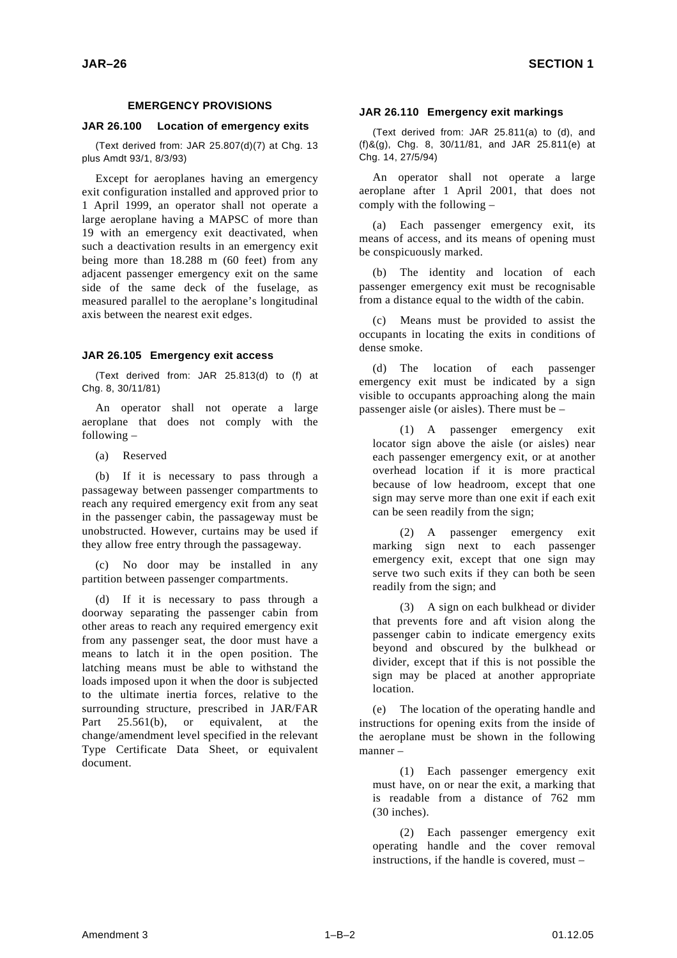#### **EMERGENCY PROVISIONS**

#### **JAR 26.100 Location of emergency exits**

(Text derived from: JAR 25.807(d)(7) at Chg. 13 plus Amdt 93/1, 8/3/93)

Except for aeroplanes having an emergency exit configuration installed and approved prior to 1 April 1999, an operator shall not operate a large aeroplane having a MAPSC of more than 19 with an emergency exit deactivated, when such a deactivation results in an emergency exit being more than 18.288 m (60 feet) from any adjacent passenger emergency exit on the same side of the same deck of the fuselage, as measured parallel to the aeroplane's longitudinal axis between the nearest exit edges.

#### **JAR 26.105 Emergency exit access**

(Text derived from: JAR 25.813(d) to (f) at Chg. 8, 30/11/81)

An operator shall not operate a large aeroplane that does not comply with the following –

(a) Reserved

(b) If it is necessary to pass through a passageway between passenger compartments to reach any required emergency exit from any seat in the passenger cabin, the passageway must be unobstructed. However, curtains may be used if they allow free entry through the passageway.

(c) No door may be installed in any partition between passenger compartments.

(d) If it is necessary to pass through a doorway separating the passenger cabin from other areas to reach any required emergency exit from any passenger seat, the door must have a means to latch it in the open position. The latching means must be able to withstand the loads imposed upon it when the door is subjected to the ultimate inertia forces, relative to the surrounding structure, prescribed in JAR/FAR Part 25.561(b), or equivalent, at the change/amendment level specified in the relevant Type Certificate Data Sheet, or equivalent document.

## **JAR 26.110 Emergency exit markings**

(Text derived from: JAR 25.811(a) to (d), and (f)&(g), Chg. 8, 30/11/81, and JAR 25.811(e) at Chg. 14, 27/5/94)

An operator shall not operate a large aeroplane after 1 April 2001, that does not comply with the following –

(a) Each passenger emergency exit, its means of access, and its means of opening must be conspicuously marked.

(b) The identity and location of each passenger emergency exit must be recognisable from a distance equal to the width of the cabin.

(c) Means must be provided to assist the occupants in locating the exits in conditions of dense smoke.

(d) The location of each passenger emergency exit must be indicated by a sign visible to occupants approaching along the main passenger aisle (or aisles). There must be –

(1) A passenger emergency exit locator sign above the aisle (or aisles) near each passenger emergency exit, or at another overhead location if it is more practical because of low headroom, except that one sign may serve more than one exit if each exit can be seen readily from the sign;

(2) A passenger emergency exit marking sign next to each passenger emergency exit, except that one sign may serve two such exits if they can both be seen readily from the sign; and

(3) A sign on each bulkhead or divider that prevents fore and aft vision along the passenger cabin to indicate emergency exits beyond and obscured by the bulkhead or divider, except that if this is not possible the sign may be placed at another appropriate location.

(e) The location of the operating handle and instructions for opening exits from the inside of the aeroplane must be shown in the following manner –

(1) Each passenger emergency exit must have, on or near the exit, a marking that is readable from a distance of 762 mm (30 inches).

(2) Each passenger emergency exit operating handle and the cover removal instructions, if the handle is covered, must –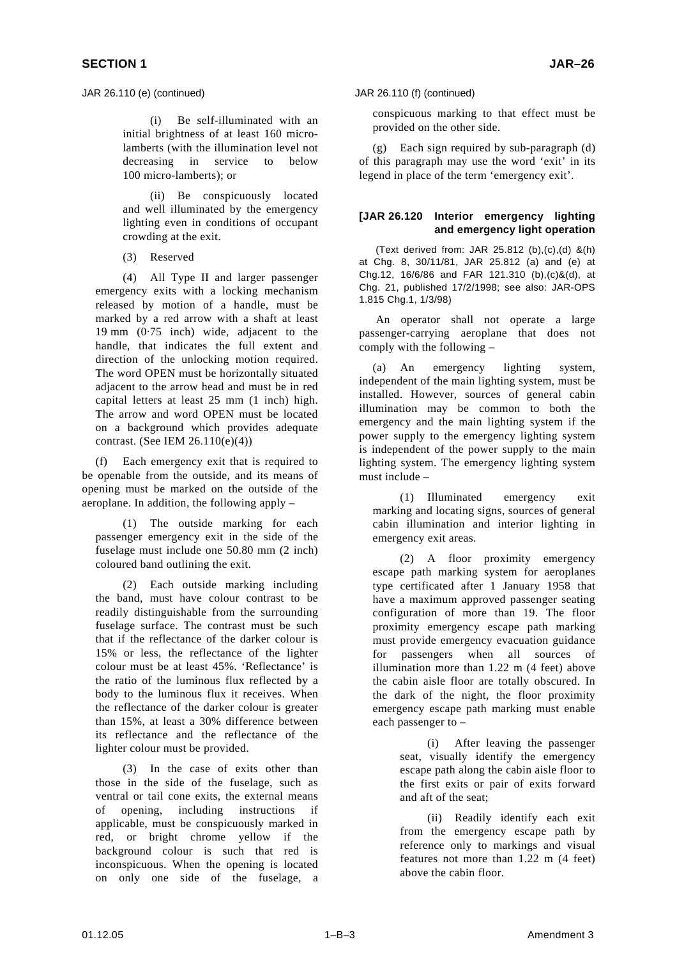JAR 26.110 (e) (continued) JAR 26.110 (f) (continued)

(i) Be self-illuminated with an initial brightness of at least 160 microlamberts (with the illumination level not decreasing in service to below 100 micro-lamberts); or

(ii) Be conspicuously located and well illuminated by the emergency lighting even in conditions of occupant crowding at the exit.

(3) Reserved

(4) All Type II and larger passenger emergency exits with a locking mechanism released by motion of a handle, must be marked by a red arrow with a shaft at least 19 mm (0. 75 inch) wide, adjacent to the handle, that indicates the full extent and direction of the unlocking motion required. The word OPEN must be horizontally situated adjacent to the arrow head and must be in red capital letters at least 25 mm (1 inch) high. The arrow and word OPEN must be located on a background which provides adequate contrast. (See IEM 26.110(e)(4))

(f) Each emergency exit that is required to be openable from the outside, and its means of opening must be marked on the outside of the aeroplane. In addition, the following apply –

(1) The outside marking for each passenger emergency exit in the side of the fuselage must include one 50.80 mm (2 inch) coloured band outlining the exit.

(2) Each outside marking including the band, must have colour contrast to be readily distinguishable from the surrounding fuselage surface. The contrast must be such that if the reflectance of the darker colour is 15% or less, the reflectance of the lighter colour must be at least 45%. 'Reflectance' is the ratio of the luminous flux reflected by a body to the luminous flux it receives. When the reflectance of the darker colour is greater than 15%, at least a 30% difference between its reflectance and the reflectance of the lighter colour must be provided.

(3) In the case of exits other than those in the side of the fuselage, such as ventral or tail cone exits, the external means of opening, including instructions if applicable, must be conspicuously marked in red, or bright chrome yellow if the background colour is such that red is inconspicuous. When the opening is located on only one side of the fuselage, a

conspicuous marking to that effect must be provided on the other side.

(g) Each sign required by sub-paragraph (d) of this paragraph may use the word 'exit' in its legend in place of the term 'emergency exit'.

## **[JAR 26.120 Interior emergency lighting and emergency light operation**

(Text derived from: JAR 25.812 (b),(c),(d) &(h) at Chg. 8, 30/11/81, JAR 25.812 (a) and (e) at Chg.12, 16/6/86 and FAR 121.310 (b),(c)&(d), at Chg. 21, published 17/2/1998; see also: JAR-OPS 1.815 Chg.1, 1/3/98)

An operator shall not operate a large passenger-carrying aeroplane that does not comply with the following –

(a) An emergency lighting system, independent of the main lighting system, must be installed. However, sources of general cabin illumination may be common to both the emergency and the main lighting system if the power supply to the emergency lighting system is independent of the power supply to the main lighting system. The emergency lighting system must include –

(1) Illuminated emergency exit marking and locating signs, sources of general cabin illumination and interior lighting in emergency exit areas.

(2) A floor proximity emergency escape path marking system for aeroplanes type certificated after 1 January 1958 that have a maximum approved passenger seating configuration of more than 19. The floor proximity emergency escape path marking must provide emergency evacuation guidance for passengers when all sources of illumination more than 1.22 m (4 feet) above the cabin aisle floor are totally obscured. In the dark of the night, the floor proximity emergency escape path marking must enable each passenger to –

> (i) After leaving the passenger seat, visually identify the emergency escape path along the cabin aisle floor to the first exits or pair of exits forward and aft of the seat;

> (ii) Readily identify each exit from the emergency escape path by reference only to markings and visual features not more than 1.22 m (4 feet) above the cabin floor.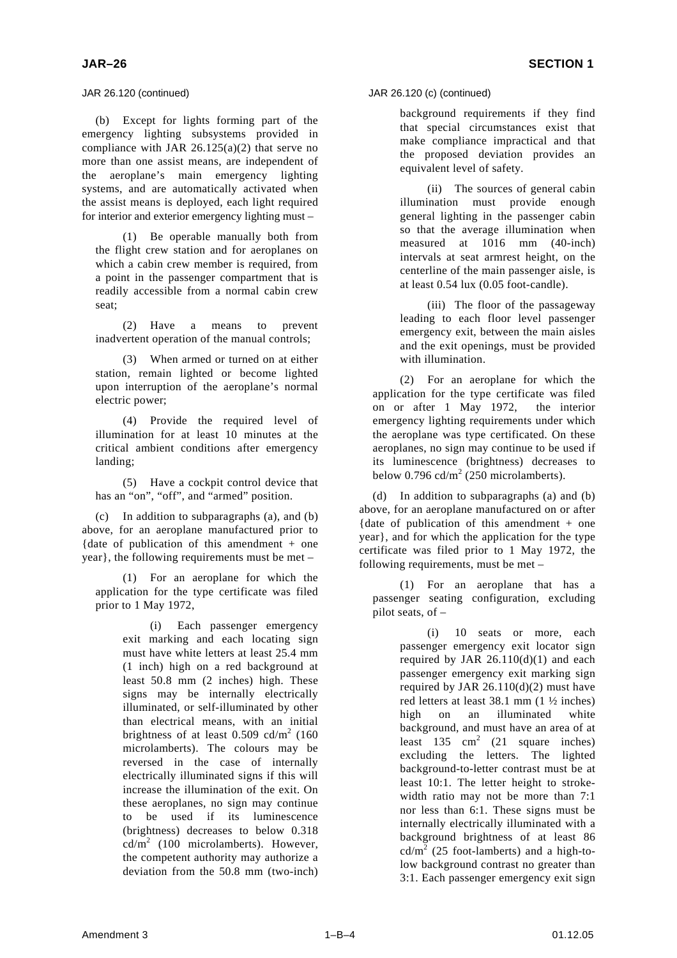(b) Except for lights forming part of the emergency lighting subsystems provided in compliance with JAR  $26.125(a)(2)$  that serve no more than one assist means, are independent of the aeroplane's main emergency lighting systems, and are automatically activated when the assist means is deployed, each light required for interior and exterior emergency lighting must –

(1) Be operable manually both from the flight crew station and for aeroplanes on which a cabin crew member is required, from a point in the passenger compartment that is readily accessible from a normal cabin crew seat;

(2) Have a means to prevent inadvertent operation of the manual controls;

(3) When armed or turned on at either station, remain lighted or become lighted upon interruption of the aeroplane's normal electric power;

(4) Provide the required level of illumination for at least 10 minutes at the critical ambient conditions after emergency landing;

(5) Have a cockpit control device that has an "on", "off", and "armed" position.

(c) In addition to subparagraphs (a), and (b) above, for an aeroplane manufactured prior to {date of publication of this amendment  $+$  one year}, the following requirements must be met –

(1) For an aeroplane for which the application for the type certificate was filed prior to 1 May 1972,

> (i) Each passenger emergency exit marking and each locating sign must have white letters at least 25.4 mm (1 inch) high on a red background at least 50.8 mm (2 inches) high. These signs may be internally electrically illuminated, or self-illuminated by other than electrical means, with an initial brightness of at least  $0.509$  cd/m<sup>2</sup> (160) microlamberts). The colours may be reversed in the case of internally electrically illuminated signs if this will increase the illumination of the exit. On these aeroplanes, no sign may continue to be used if its luminescence (brightness) decreases to below 0.318  $cd/m<sup>2</sup>$  (100 microlamberts). However, the competent authority may authorize a deviation from the 50.8 mm (two-inch)

#### JAR 26.120 (continued) JAR 26.120 (c) (continued)

background requirements if they find that special circumstances exist that make compliance impractical and that the proposed deviation provides an equivalent level of safety.

(ii) The sources of general cabin illumination must provide enough general lighting in the passenger cabin so that the average illumination when measured at 1016 mm (40-inch) intervals at seat armrest height, on the centerline of the main passenger aisle, is at least 0.54 lux (0.05 foot-candle).

(iii) The floor of the passageway leading to each floor level passenger emergency exit, between the main aisles and the exit openings, must be provided with illumination.

(2) For an aeroplane for which the application for the type certificate was filed on or after 1 May 1972, the interior emergency lighting requirements under which the aeroplane was type certificated. On these aeroplanes, no sign may continue to be used if its luminescence (brightness) decreases to below 0.796 cd/ $m^2$  (250 microlamberts).

(d) In addition to subparagraphs (a) and (b) above, for an aeroplane manufactured on or after {date of publication of this amendment  $+$  one year}, and for which the application for the type certificate was filed prior to 1 May 1972, the following requirements, must be met –

(1) For an aeroplane that has a passenger seating configuration, excluding pilot seats, of –

> (i) 10 seats or more, each passenger emergency exit locator sign required by JAR  $26.110(d)(1)$  and each passenger emergency exit marking sign required by JAR  $26.110(d)(2)$  must have red letters at least 38.1 mm (1 ½ inches) high on an illuminated white background, and must have an area of at least  $135 \text{ cm}^2$  (21 square inches) excluding the letters. The lighted background-to-letter contrast must be at least 10:1. The letter height to strokewidth ratio may not be more than 7:1 nor less than 6:1. These signs must be internally electrically illuminated with a background brightness of at least 86 cd/m<sup>2</sup> (25 foot-lamberts) and a high-tolow background contrast no greater than 3:1. Each passenger emergency exit sign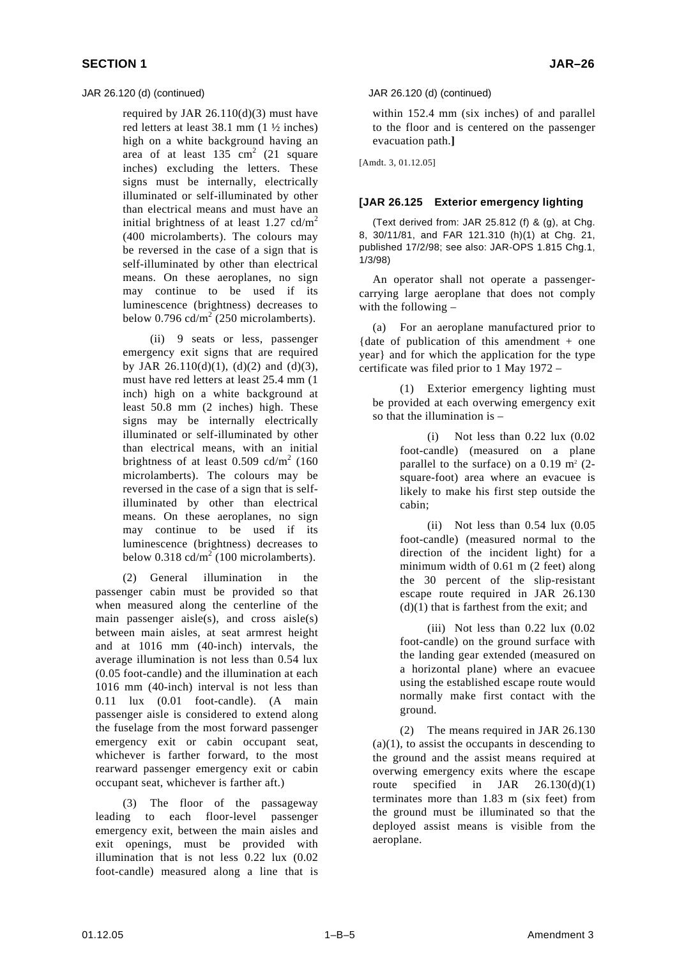#### JAR 26.120 (d) (continued) JAR 26.120 (d) (continued)

required by JAR  $26.110(d)(3)$  must have red letters at least 38.1 mm (1 ½ inches) high on a white background having an area of at least  $135 \text{ cm}^2$  (21 square inches) excluding the letters. These signs must be internally, electrically illuminated or self-illuminated by other than electrical means and must have an initial brightness of at least  $1.27$  cd/m<sup>2</sup> (400 microlamberts). The colours may be reversed in the case of a sign that is self-illuminated by other than electrical means. On these aeroplanes, no sign may continue to be used if its luminescence (brightness) decreases to below 0.796  $\text{cd/m}^2$  (250 microlamberts).

(ii) 9 seats or less, passenger emergency exit signs that are required by JAR 26.110(d)(1), (d)(2) and (d)(3), must have red letters at least 25.4 mm (1 inch) high on a white background at least 50.8 mm (2 inches) high. These signs may be internally electrically illuminated or self-illuminated by other than electrical means, with an initial brightness of at least  $0.509$  cd/m<sup>2</sup> (160) microlamberts). The colours may be reversed in the case of a sign that is selfilluminated by other than electrical means. On these aeroplanes, no sign may continue to be used if its luminescence (brightness) decreases to below 0.318  $\text{cd/m}^2$  (100 microlamberts).

 $(2)$  General illumination in passenger cabin must be provided so that when measured along the centerline of the main passenger aisle(s), and cross aisle(s) between main aisles, at seat armrest height and at 1016 mm (40-inch) intervals, the average illumination is not less than 0.54 lux (0.05 foot-candle) and the illumination at each 1016 mm (40-inch) interval is not less than 0.11 lux (0.01 foot-candle). (A main passenger aisle is considered to extend along the fuselage from the most forward passenger emergency exit or cabin occupant seat, whichever is farther forward, to the most rearward passenger emergency exit or cabin occupant seat, whichever is farther aft.)

(3) The floor of the passageway leading to each floor-level passenger emergency exit, between the main aisles and exit openings, must be provided with illumination that is not less 0.22 lux (0.02 foot-candle) measured along a line that is

within 152.4 mm (six inches) of and parallel to the floor and is centered on the passenger evacuation path.**]**

[Amdt. 3, 01.12.05]

### **[JAR 26.125 Exterior emergency lighting**

(Text derived from: JAR 25.812 (f)  $&$  (g), at Chg. 8, 30/11/81, and FAR 121.310 (h)(1) at Chg. 21, published 17/2/98; see also: JAR-OPS 1.815 Chg.1, 1/3/98)

An operator shall not operate a passengercarrying large aeroplane that does not comply with the following –

(a) For an aeroplane manufactured prior to {date of publication of this amendment  $+$  one year} and for which the application for the type certificate was filed prior to 1 May 1972 –

(1) Exterior emergency lighting must be provided at each overwing emergency exit so that the illumination is  $-$ 

> $(i)$  Not less than 0.22 lux  $(0.02)$ foot-candle) (measured on a plane parallel to the surface) on a  $0.19 \text{ m}^2$  (2square-foot) area where an evacuee is likely to make his first step outside the cabin;

> (ii) Not less than  $0.54$  lux  $(0.05)$ foot-candle) (measured normal to the direction of the incident light) for a minimum width of 0.61 m (2 feet) along the 30 percent of the slip-resistant escape route required in JAR 26.130 (d)(1) that is farthest from the exit; and

> (iii) Not less than  $0.22$  lux  $(0.02)$ foot-candle) on the ground surface with the landing gear extended (measured on a horizontal plane) where an evacuee using the established escape route would normally make first contact with the ground.

(2) The means required in JAR 26.130  $(a)(1)$ , to assist the occupants in descending to the ground and the assist means required at overwing emergency exits where the escape route specified in JAR  $26.130(d)(1)$ terminates more than 1.83 m (six feet) from the ground must be illuminated so that the deployed assist means is visible from the aeroplane.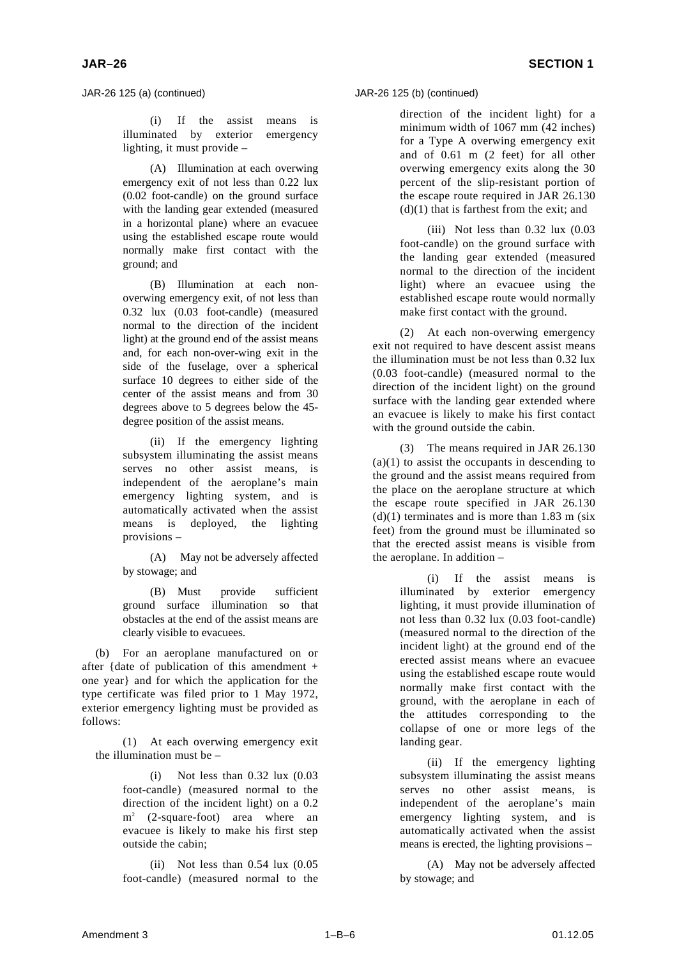(i) If the assist means is illuminated by exterior emergency lighting, it must provide –

(A) Illumination at each overwing emergency exit of not less than 0.22 lux (0.02 foot-candle) on the ground surface with the landing gear extended (measured in a horizontal plane) where an evacuee using the established escape route would normally make first contact with the ground; and

(B) Illumination at each nonoverwing emergency exit, of not less than 0.32 lux (0.03 foot-candle) (measured normal to the direction of the incident light) at the ground end of the assist means and, for each non-over-wing exit in the side of the fuselage, over a spherical surface 10 degrees to either side of the center of the assist means and from 30 degrees above to 5 degrees below the 45 degree position of the assist means.

(ii) If the emergency lighting subsystem illuminating the assist means serves no other assist means, is independent of the aeroplane's main emergency lighting system, and is automatically activated when the assist means is deployed, the lighting provisions –

(A) May not be adversely affected by stowage; and

(B) Must provide sufficient ground surface illumination so that obstacles at the end of the assist means are clearly visible to evacuees.

(b) For an aeroplane manufactured on or after {date of publication of this amendment + one year} and for which the application for the type certificate was filed prior to 1 May 1972, exterior emergency lighting must be provided as follows:

(1) At each overwing emergency exit the illumination must be –

> (i) Not less than 0.32 lux (0.03 foot-candle) (measured normal to the direction of the incident light) on a 0.2 m2 (2-square-foot) area where an evacuee is likely to make his first step outside the cabin;

> (ii) Not less than  $0.54$  lux  $(0.05)$ foot-candle) (measured normal to the

JAR-26 125 (a) (continued) JAR-26 125 (b) (continued)

direction of the incident light) for a minimum width of 1067 mm (42 inches) for a Type A overwing emergency exit and of 0.61 m (2 feet) for all other overwing emergency exits along the 30 percent of the slip-resistant portion of the escape route required in JAR 26.130  $(d)(1)$  that is farthest from the exit; and

(iii) Not less than 0.32 lux (0.03 foot-candle) on the ground surface with the landing gear extended (measured normal to the direction of the incident light) where an evacuee using the established escape route would normally make first contact with the ground.

(2) At each non-overwing emergency exit not required to have descent assist means the illumination must be not less than 0.32 lux (0.03 foot-candle) (measured normal to the direction of the incident light) on the ground surface with the landing gear extended where an evacuee is likely to make his first contact with the ground outside the cabin.

(3) The means required in JAR 26.130  $(a)(1)$  to assist the occupants in descending to the ground and the assist means required from the place on the aeroplane structure at which the escape route specified in JAR 26.130  $(d)(1)$  terminates and is more than 1.83 m (six) feet) from the ground must be illuminated so that the erected assist means is visible from the aeroplane. In addition –

> (i) If the assist means is illuminated by exterior emergency lighting, it must provide illumination of not less than 0.32 lux (0.03 foot-candle) (measured normal to the direction of the incident light) at the ground end of the erected assist means where an evacuee using the established escape route would normally make first contact with the ground, with the aeroplane in each of the attitudes corresponding to the collapse of one or more legs of the landing gear.

> (ii) If the emergency lighting subsystem illuminating the assist means serves no other assist means, is independent of the aeroplane's main emergency lighting system, and is automatically activated when the assist means is erected, the lighting provisions –

> (A) May not be adversely affected by stowage; and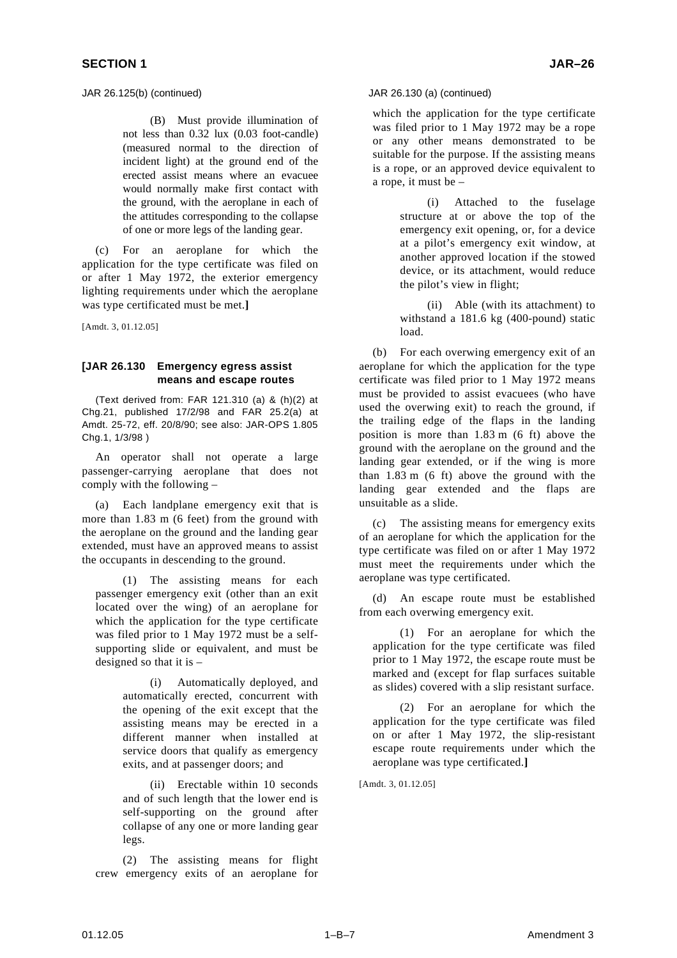(B) Must provide illumination of not less than 0.32 lux (0.03 foot-candle) (measured normal to the direction of incident light) at the ground end of the erected assist means where an evacuee would normally make first contact with the ground, with the aeroplane in each of the attitudes corresponding to the collapse of one or more legs of the landing gear.

(c) For an aeroplane for which the application for the type certificate was filed on or after 1 May 1972, the exterior emergency lighting requirements under which the aeroplane was type certificated must be met.**]**

[Amdt. 3, 01.12.05]

## **[JAR 26.130 Emergency egress assist means and escape routes**

(Text derived from: FAR 121.310 (a) & (h)(2) at Chg.21, published 17/2/98 and FAR 25.2(a) at Amdt. 25-72, eff. 20/8/90; see also: JAR-OPS 1.805 Chg.1, 1/3/98 )

An operator shall not operate a large passenger-carrying aeroplane that does not comply with the following –

(a) Each landplane emergency exit that is more than 1.83 m (6 feet) from the ground with the aeroplane on the ground and the landing gear extended, must have an approved means to assist the occupants in descending to the ground.

(1) The assisting means for each passenger emergency exit (other than an exit located over the wing) of an aeroplane for which the application for the type certificate was filed prior to 1 May 1972 must be a selfsupporting slide or equivalent, and must be designed so that it is –

> (i) Automatically deployed, and automatically erected, concurrent with the opening of the exit except that the assisting means may be erected in a different manner when installed at service doors that qualify as emergency exits, and at passenger doors; and

> (ii) Erectable within 10 seconds and of such length that the lower end is self-supporting on the ground after collapse of any one or more landing gear legs.

(2) The assisting means for flight crew emergency exits of an aeroplane for

#### JAR 26.125(b) (continued) JAR 26.130 (a) (continued)

which the application for the type certificate was filed prior to 1 May 1972 may be a rope or any other means demonstrated to be suitable for the purpose. If the assisting means is a rope, or an approved device equivalent to a rope, it must be –

> (i) Attached to the fuselage structure at or above the top of the emergency exit opening, or, for a device at a pilot's emergency exit window, at another approved location if the stowed device, or its attachment, would reduce the pilot's view in flight;

> (ii) Able (with its attachment) to withstand a 181.6 kg (400-pound) static load.

(b) For each overwing emergency exit of an aeroplane for which the application for the type certificate was filed prior to 1 May 1972 means must be provided to assist evacuees (who have used the overwing exit) to reach the ground, if the trailing edge of the flaps in the landing position is more than 1.83 m (6 ft) above the ground with the aeroplane on the ground and the landing gear extended, or if the wing is more than 1.83 m (6 ft) above the ground with the landing gear extended and the flaps are unsuitable as a slide.

(c) The assisting means for emergency exits of an aeroplane for which the application for the type certificate was filed on or after 1 May 1972 must meet the requirements under which the aeroplane was type certificated.

(d) An escape route must be established from each overwing emergency exit.

(1) For an aeroplane for which the application for the type certificate was filed prior to 1 May 1972, the escape route must be marked and (except for flap surfaces suitable as slides) covered with a slip resistant surface.

(2) For an aeroplane for which the application for the type certificate was filed on or after 1 May 1972, the slip-resistant escape route requirements under which the aeroplane was type certificated.**]** 

[Amdt. 3, 01.12.05]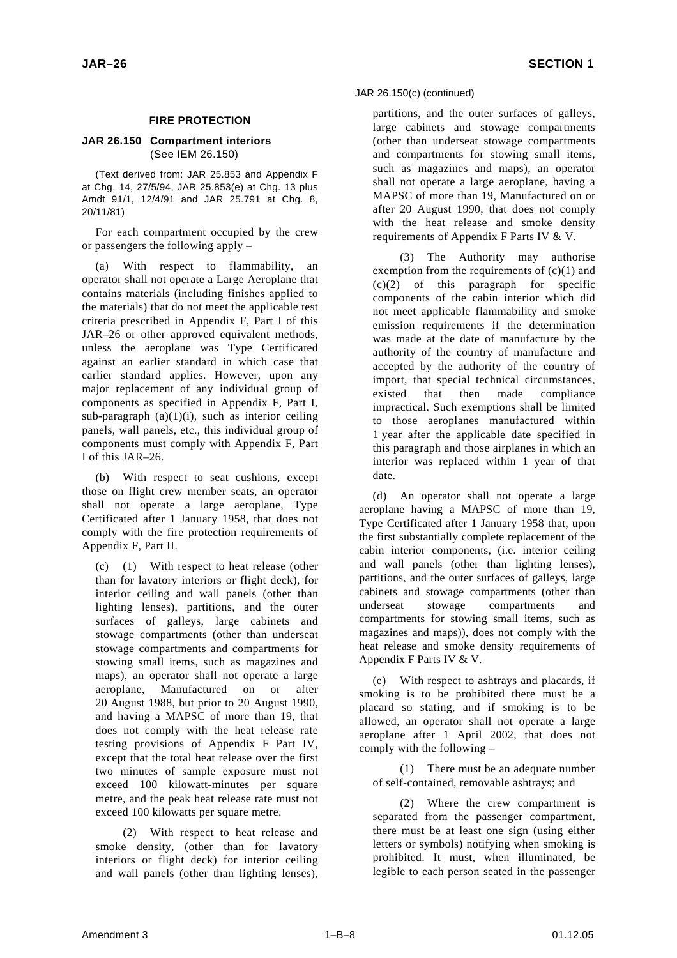# **FIRE PROTECTION**

#### **JAR 26.150 Compartment interiors**  (See IEM 26.150)

(Text derived from: JAR 25.853 and Appendix F at Chg. 14, 27/5/94, JAR 25.853(e) at Chg. 13 plus Amdt 91/1, 12/4/91 and JAR 25.791 at Chg. 8, 20/11/81)

For each compartment occupied by the crew or passengers the following apply –

(a) With respect to flammability, an operator shall not operate a Large Aeroplane that contains materials (including finishes applied to the materials) that do not meet the applicable test criteria prescribed in Appendix F, Part I of this JAR–26 or other approved equivalent methods, unless the aeroplane was Type Certificated against an earlier standard in which case that earlier standard applies. However, upon any major replacement of any individual group of components as specified in Appendix F, Part I, sub-paragraph  $(a)(1)(i)$ , such as interior ceiling panels, wall panels, etc., this individual group of components must comply with Appendix F, Part I of this JAR–26.

(b) With respect to seat cushions, except those on flight crew member seats, an operator shall not operate a large aeroplane, Type Certificated after 1 January 1958, that does not comply with the fire protection requirements of Appendix F, Part II.

(c) (1) With respect to heat release (other than for lavatory interiors or flight deck), for interior ceiling and wall panels (other than lighting lenses), partitions, and the outer surfaces of galleys, large cabinets and stowage compartments (other than underseat stowage compartments and compartments for stowing small items, such as magazines and maps), an operator shall not operate a large aeroplane, Manufactured on or after 20 August 1988, but prior to 20 August 1990, and having a MAPSC of more than 19, that does not comply with the heat release rate testing provisions of Appendix F Part IV, except that the total heat release over the first two minutes of sample exposure must not exceed 100 kilowatt-minutes per square metre, and the peak heat release rate must not exceed 100 kilowatts per square metre.

(2) With respect to heat release and smoke density, (other than for lavatory interiors or flight deck) for interior ceiling and wall panels (other than lighting lenses),

## JAR 26.150(c) (continued)

partitions, and the outer surfaces of galleys, large cabinets and stowage compartments (other than underseat stowage compartments and compartments for stowing small items, such as magazines and maps), an operator shall not operate a large aeroplane, having a MAPSC of more than 19, Manufactured on or after 20 August 1990, that does not comply with the heat release and smoke density requirements of Appendix F Parts IV & V.

(3) The Authority may authorise exemption from the requirements of  $(c)(1)$  and  $(c)(2)$  of this paragraph for specific components of the cabin interior which did not meet applicable flammability and smoke emission requirements if the determination was made at the date of manufacture by the authority of the country of manufacture and accepted by the authority of the country of import, that special technical circumstances, existed that then made compliance impractical. Such exemptions shall be limited to those aeroplanes manufactured within 1 year after the applicable date specified in this paragraph and those airplanes in which an interior was replaced within 1 year of that date.

(d) An operator shall not operate a large aeroplane having a MAPSC of more than 19, Type Certificated after 1 January 1958 that, upon the first substantially complete replacement of the cabin interior components, (i.e. interior ceiling and wall panels (other than lighting lenses), partitions, and the outer surfaces of galleys, large cabinets and stowage compartments (other than underseat stowage compartments and compartments for stowing small items, such as magazines and maps)), does not comply with the heat release and smoke density requirements of Appendix F Parts IV & V.

(e) With respect to ashtrays and placards, if smoking is to be prohibited there must be a placard so stating, and if smoking is to be allowed, an operator shall not operate a large aeroplane after 1 April 2002, that does not comply with the following –

(1) There must be an adequate number of self-contained, removable ashtrays; and

(2) Where the crew compartment is separated from the passenger compartment, there must be at least one sign (using either letters or symbols) notifying when smoking is prohibited. It must, when illuminated, be legible to each person seated in the passenger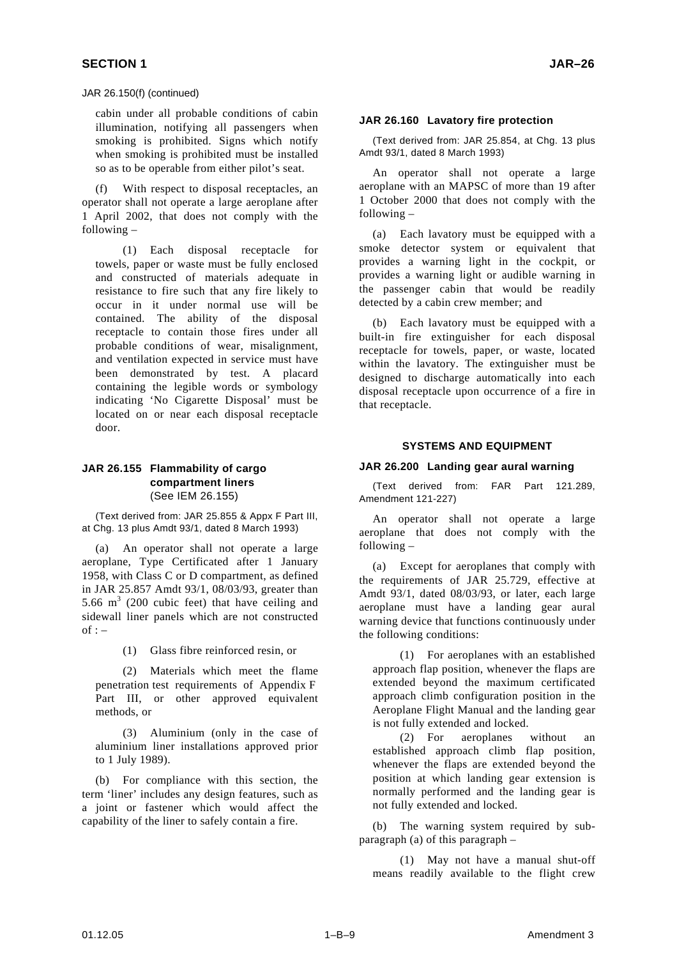### JAR 26.150(f) (continued)

cabin under all probable conditions of cabin illumination, notifying all passengers when smoking is prohibited. Signs which notify when smoking is prohibited must be installed so as to be operable from either pilot's seat.

(f) With respect to disposal receptacles, an operator shall not operate a large aeroplane after 1 April 2002, that does not comply with the following –

(1) Each disposal receptacle for towels, paper or waste must be fully enclosed and constructed of materials adequate in resistance to fire such that any fire likely to occur in it under normal use will be contained. The ability of the disposal receptacle to contain those fires under all probable conditions of wear, misalignment, and ventilation expected in service must have been demonstrated by test. A placard containing the legible words or symbology indicating 'No Cigarette Disposal' must be located on or near each disposal receptacle door.

#### **JAR 26.155 Flammability of cargo compartment liners** (See IEM 26.155)

(Text derived from: JAR 25.855 & Appx F Part III, at Chg. 13 plus Amdt 93/1, dated 8 March 1993)

(a) An operator shall not operate a large aeroplane, Type Certificated after 1 January 1958, with Class C or D compartment, as defined in JAR 25.857 Amdt 93/1, 08/03/93, greater than 5.66  $m<sup>3</sup>$  (200 cubic feet) that have ceiling and sidewall liner panels which are not constructed  $of: -$ 

(1) Glass fibre reinforced resin, or

(2) Materials which meet the flame penetration test requirements of Appendix F Part III, or other approved equivalent methods, or

(3) Aluminium (only in the case of aluminium liner installations approved prior to 1 July 1989).

(b) For compliance with this section, the term 'liner' includes any design features, such as a joint or fastener which would affect the capability of the liner to safely contain a fire.

#### **JAR 26.160 Lavatory fire protection**

(Text derived from: JAR 25.854, at Chg. 13 plus Amdt 93/1, dated 8 March 1993)

An operator shall not operate a large aeroplane with an MAPSC of more than 19 after 1 October 2000 that does not comply with the following –

(a) Each lavatory must be equipped with a smoke detector system or equivalent that provides a warning light in the cockpit, or provides a warning light or audible warning in the passenger cabin that would be readily detected by a cabin crew member; and

(b) Each lavatory must be equipped with a built-in fire extinguisher for each disposal receptacle for towels, paper, or waste, located within the lavatory. The extinguisher must be designed to discharge automatically into each disposal receptacle upon occurrence of a fire in that receptacle.

## **SYSTEMS AND EQUIPMENT**

#### **JAR 26.200 Landing gear aural warning**

(Text derived from: FAR Part 121.289, Amendment 121-227)

An operator shall not operate a large aeroplane that does not comply with the following –

(a) Except for aeroplanes that comply with the requirements of JAR 25.729, effective at Amdt 93/1, dated 08/03/93, or later, each large aeroplane must have a landing gear aural warning device that functions continuously under the following conditions:

(1) For aeroplanes with an established approach flap position, whenever the flaps are extended beyond the maximum certificated approach climb configuration position in the Aeroplane Flight Manual and the landing gear is not fully extended and locked.

(2) For aeroplanes without an established approach climb flap position, whenever the flaps are extended beyond the position at which landing gear extension is normally performed and the landing gear is not fully extended and locked.

(b) The warning system required by subparagraph (a) of this paragraph –

(1) May not have a manual shut-off means readily available to the flight crew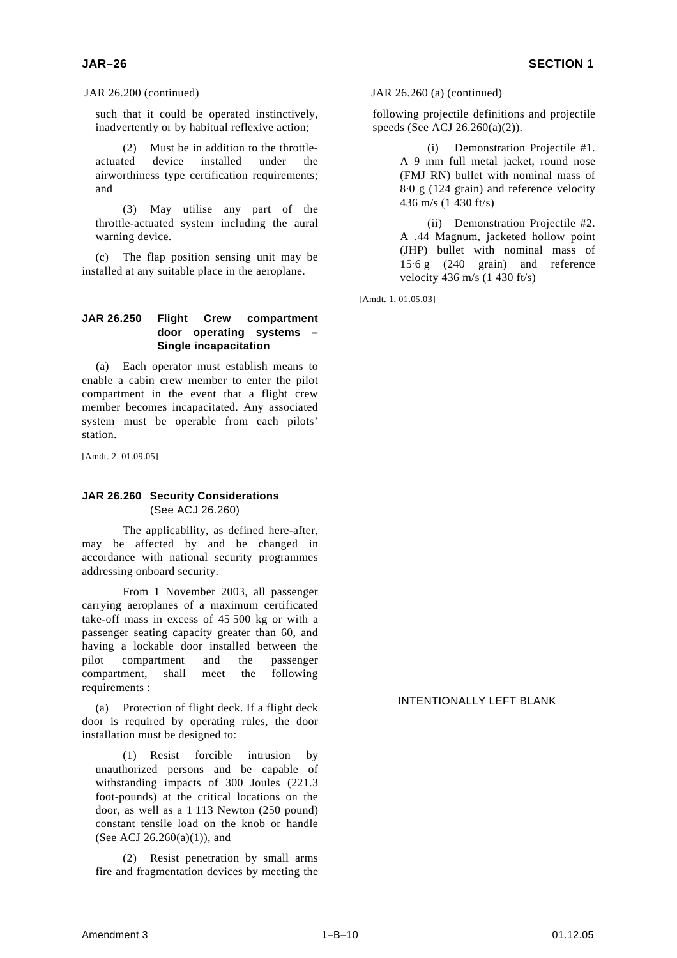such that it could be operated instinctively, inadvertently or by habitual reflexive action;

(2) Must be in addition to the throttleactuated device installed under the airworthiness type certification requirements; and

(3) May utilise any part of the throttle-actuated system including the aural warning device.

(c) The flap position sensing unit may be installed at any suitable place in the aeroplane.

### **JAR 26.250 Flight Crew compartment door operating systems – Single incapacitation**

(a) Each operator must establish means to enable a cabin crew member to enter the pilot compartment in the event that a flight crew member becomes incapacitated. Any associated system must be operable from each pilots' station.

[Amdt. 2, 01.09.05]

### **JAR 26.260 Security Considerations**  (See ACJ 26.260)

The applicability, as defined here-after, may be affected by and be changed in accordance with national security programmes addressing onboard security.

From 1 November 2003, all passenger carrying aeroplanes of a maximum certificated take-off mass in excess of 45 500 kg or with a passenger seating capacity greater than 60, and having a lockable door installed between the pilot compartment and the passenger compartment, shall meet the following requirements :

(a) Protection of flight deck. If a flight deck door is required by operating rules, the door installation must be designed to:

(1) Resist forcible intrusion by unauthorized persons and be capable of withstanding impacts of 300 Joules (221.3 foot-pounds) at the critical locations on the door, as well as a 1 113 Newton (250 pound) constant tensile load on the knob or handle (See ACJ  $26.260(a)(1)$ ), and

(2) Resist penetration by small arms fire and fragmentation devices by meeting the

JAR 26.200 (continued) JAR 26.260 (a) (continued)

following projectile definitions and projectile speeds (See ACJ 26.260(a)(2)).

> (i) Demonstration Projectile #1. A 9 mm full metal jacket, round nose (FMJ RN) bullet with nominal mass of 8·0 g (124 grain) and reference velocity 436 m/s (1 430 ft/s)

> (ii) Demonstration Projectile #2. A .44 Magnum, jacketed hollow point (JHP) bullet with nominal mass of 15·6 g (240 grain) and reference velocity 436 m/s (1 430 ft/s)

[Amdt. 1, 01.05.03]

INTENTIONALLY LEFT BLANK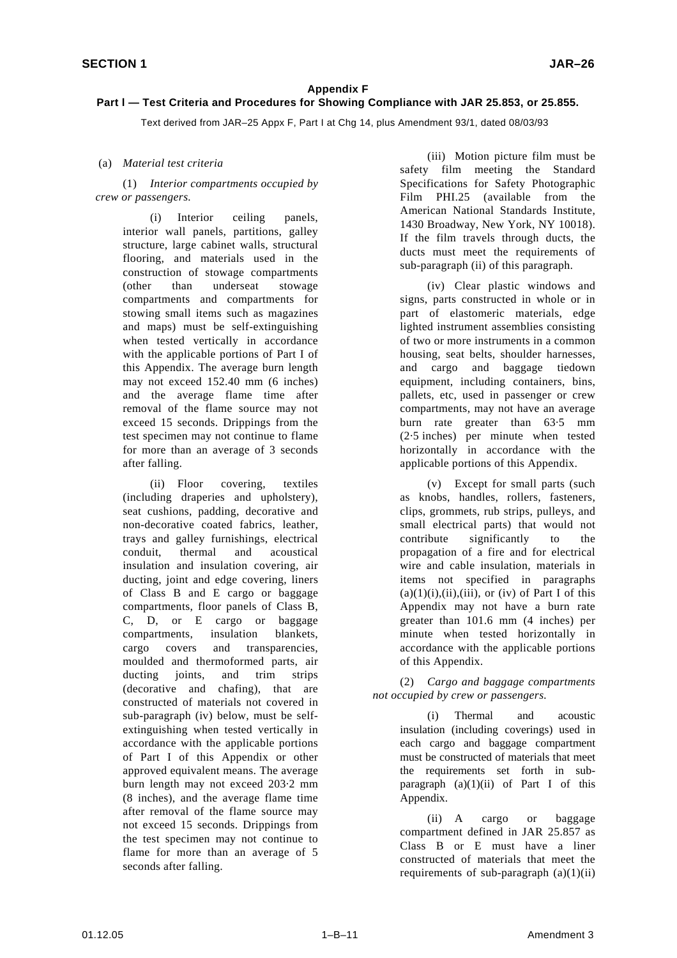### **Appendix F**

## **Part l — Test Criteria and Procedures for Showing Compliance with JAR 25.853, or 25.855.**

Text derived from JAR–25 Appx F, Part I at Chg 14, plus Amendment 93/1, dated 08/03/93

#### (a) *Material test criteria*

(1) *Interior compartments occupied by crew or passengers.* 

> (i) Interior ceiling panels, interior wall panels, partitions, galley structure, large cabinet walls, structural flooring, and materials used in the construction of stowage compartments (other than underseat stowage compartments and compartments for stowing small items such as magazines and maps) must be self-extinguishing when tested vertically in accordance with the applicable portions of Part I of this Appendix. The average burn length may not exceed 152.40 mm (6 inches) and the average flame time after removal of the flame source may not exceed 15 seconds. Drippings from the test specimen may not continue to flame for more than an average of 3 seconds after falling.

> (ii) Floor covering, textiles (including draperies and upholstery), seat cushions, padding, decorative and non-decorative coated fabrics, leather, trays and galley furnishings, electrical conduit, thermal and acoustical insulation and insulation covering, air ducting, joint and edge covering, liners of Class B and E cargo or baggage compartments, floor panels of Class B, C, D, or E cargo or baggage compartments, insulation blankets, cargo covers and transparencies, moulded and thermoformed parts, air ducting joints, and trim strips (decorative and chafing), that are constructed of materials not covered in sub-paragraph (iv) below, must be selfextinguishing when tested vertically in accordance with the applicable portions of Part I of this Appendix or other approved equivalent means. The average burn length may not exceed 203·2 mm (8 inches), and the average flame time after removal of the flame source may not exceed 15 seconds. Drippings from the test specimen may not continue to flame for more than an average of 5 seconds after falling.

(iii) Motion picture film must be safety film meeting the Standard Specifications for Safety Photographic Film PHI.25 (available from the American National Standards Institute, 1430 Broadway, New York, NY 10018). If the film travels through ducts, the ducts must meet the requirements of sub-paragraph (ii) of this paragraph.

(iv) Clear plastic windows and signs, parts constructed in whole or in part of elastomeric materials, edge lighted instrument assemblies consisting of two or more instruments in a common housing, seat belts, shoulder harnesses, and cargo and baggage tiedown equipment, including containers, bins, pallets, etc, used in passenger or crew compartments, may not have an average burn rate greater than 63·5 mm (2·5 inches) per minute when tested horizontally in accordance with the applicable portions of this Appendix.

(v) Except for small parts (such as knobs, handles, rollers, fasteners, clips, grommets, rub strips, pulleys, and small electrical parts) that would not contribute significantly to the propagation of a fire and for electrical wire and cable insulation, materials in items not specified in paragraphs  $(a)(1)(i), (ii), (iii),$  or  $(iv)$  of Part I of this Appendix may not have a burn rate greater than 101.6 mm (4 inches) per minute when tested horizontally in accordance with the applicable portions of this Appendix.

(2) *Cargo and baggage compartments not occupied by crew or passengers.* 

> (i) Thermal and acoustic insulation (including coverings) used in each cargo and baggage compartment must be constructed of materials that meet the requirements set forth in subparagraph (a)(1)(ii) of Part I of this Appendix.

> (ii) A cargo or baggage compartment defined in JAR 25.857 as Class B or E must have a liner constructed of materials that meet the requirements of sub-paragraph  $(a)(1)(ii)$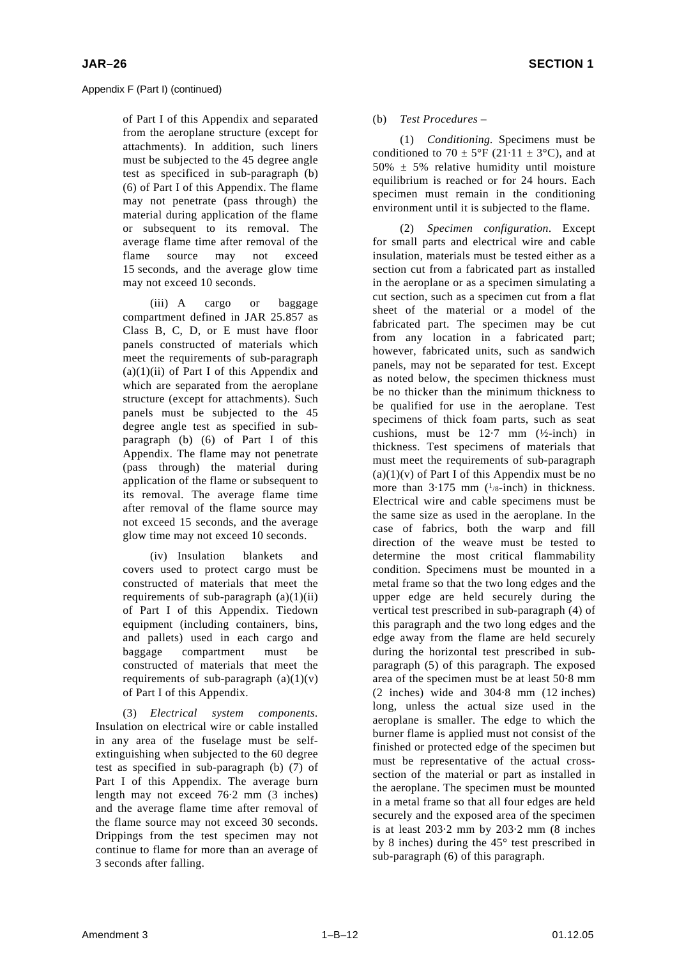of Part I of this Appendix and separated from the aeroplane structure (except for attachments). In addition, such liners must be subjected to the 45 degree angle test as specificed in sub-paragraph (b) (6) of Part I of this Appendix. The flame may not penetrate (pass through) the material during application of the flame or subsequent to its removal. The average flame time after removal of the flame source may not exceed 15 seconds, and the average glow time may not exceed 10 seconds.

(iii) A cargo or baggage compartment defined in JAR 25.857 as Class B, C, D, or E must have floor panels constructed of materials which meet the requirements of sub-paragraph  $(a)(1)(ii)$  of Part I of this Appendix and which are separated from the aeroplane structure (except for attachments). Such panels must be subjected to the 45 degree angle test as specified in subparagraph (b) (6) of Part I of this Appendix. The flame may not penetrate (pass through) the material during application of the flame or subsequent to its removal. The average flame time after removal of the flame source may not exceed 15 seconds, and the average glow time may not exceed 10 seconds.

(iv) Insulation blankets and covers used to protect cargo must be constructed of materials that meet the requirements of sub-paragraph  $(a)(1)(ii)$ of Part I of this Appendix. Tiedown equipment (including containers, bins, and pallets) used in each cargo and baggage compartment must be constructed of materials that meet the requirements of sub-paragraph  $(a)(1)(v)$ of Part I of this Appendix.

(3) *Electrical system components.* Insulation on electrical wire or cable installed in any area of the fuselage must be selfextinguishing when subjected to the 60 degree test as specified in sub-paragraph (b) (7) of Part I of this Appendix. The average burn length may not exceed 76·2 mm (3 inches) and the average flame time after removal of the flame source may not exceed 30 seconds. Drippings from the test specimen may not continue to flame for more than an average of 3 seconds after falling.

# (b) *Test Procedures –*

(1) *Conditioning.* Specimens must be conditioned to 70  $\pm$  5°F (21·11  $\pm$  3°C), and at  $50\% \pm 5\%$  relative humidity until moisture equilibrium is reached or for 24 hours. Each specimen must remain in the conditioning environment until it is subjected to the flame.

(2) *Specimen configuration*. Except for small parts and electrical wire and cable insulation, materials must be tested either as a section cut from a fabricated part as installed in the aeroplane or as a specimen simulating a cut section, such as a specimen cut from a flat sheet of the material or a model of the fabricated part. The specimen may be cut from any location in a fabricated part; however, fabricated units, such as sandwich panels, may not be separated for test. Except as noted below, the specimen thickness must be no thicker than the minimum thickness to be qualified for use in the aeroplane. Test specimens of thick foam parts, such as seat cushions, must be  $12.7 \text{ mm}$  ( $\frac{1}{2}$ -inch) in thickness. Test specimens of materials that must meet the requirements of sub-paragraph  $(a)(1)(v)$  of Part I of this Appendix must be no more than  $3.175$  mm  $(1/8$ -inch) in thickness. Electrical wire and cable specimens must be the same size as used in the aeroplane. In the case of fabrics, both the warp and fill direction of the weave must be tested to determine the most critical flammability condition. Specimens must be mounted in a metal frame so that the two long edges and the upper edge are held securely during the vertical test prescribed in sub-paragraph (4) of this paragraph and the two long edges and the edge away from the flame are held securely during the horizontal test prescribed in subparagraph (5) of this paragraph. The exposed area of the specimen must be at least 50·8 mm (2 inches) wide and 304·8 mm (12 inches) long, unless the actual size used in the aeroplane is smaller. The edge to which the burner flame is applied must not consist of the finished or protected edge of the specimen but must be representative of the actual crosssection of the material or part as installed in the aeroplane. The specimen must be mounted in a metal frame so that all four edges are held securely and the exposed area of the specimen is at least  $203.2$  mm by  $203.2$  mm  $(8 \text{ inches})$ by 8 inches) during the 45° test prescribed in sub-paragraph (6) of this paragraph.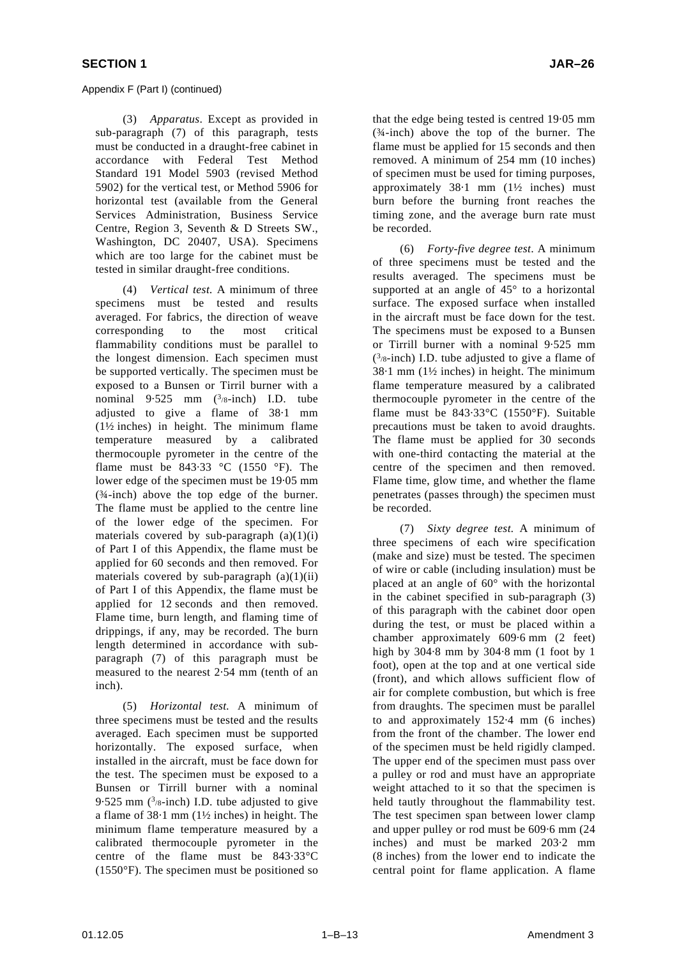(3) *Apparatus*. Except as provided in sub-paragraph (7) of this paragraph, tests must be conducted in a draught-free cabinet in accordance with Federal Test Method Standard 191 Model 5903 (revised Method 5902) for the vertical test, or Method 5906 for horizontal test (available from the General Services Administration, Business Service Centre, Region 3, Seventh & D Streets SW., Washington, DC 20407, USA). Specimens which are too large for the cabinet must be tested in similar draught-free conditions.

(4) *Vertical test.* A minimum of three specimens must be tested and results averaged. For fabrics, the direction of weave corresponding to the most critical flammability conditions must be parallel to the longest dimension. Each specimen must be supported vertically. The specimen must be exposed to a Bunsen or Tirril burner with a nominal  $9.525$  mm  $(3/8$ -inch) I.D. tube adjusted to give a flame of 38·1 mm (1½ inches) in height. The minimum flame temperature measured by a calibrated thermocouple pyrometer in the centre of the flame must be 843·33 °C (1550 °F). The lower edge of the specimen must be 19·05 mm  $(34$ -inch) above the top edge of the burner. The flame must be applied to the centre line of the lower edge of the specimen. For materials covered by sub-paragraph  $(a)(1)(i)$ of Part I of this Appendix, the flame must be applied for 60 seconds and then removed. For materials covered by sub-paragraph  $(a)(1)(ii)$ of Part I of this Appendix, the flame must be applied for 12 seconds and then removed. Flame time, burn length, and flaming time of drippings, if any, may be recorded. The burn length determined in accordance with subparagraph (7) of this paragraph must be measured to the nearest 2·54 mm (tenth of an inch).

(5) *Horizontal test.* A minimum of three specimens must be tested and the results averaged. Each specimen must be supported horizontally. The exposed surface, when installed in the aircraft, must be face down for the test. The specimen must be exposed to a Bunsen or Tirrill burner with a nominal 9.525 mm  $(3/8$ -inch) I.D. tube adjusted to give a flame of 38·1 mm (1½ inches) in height. The minimum flame temperature measured by a calibrated thermocouple pyrometer in the centre of the flame must be 843·33°C (1550°F). The specimen must be positioned so

that the edge being tested is centred 19·05 mm (¾-inch) above the top of the burner. The flame must be applied for 15 seconds and then removed. A minimum of 254 mm (10 inches) of specimen must be used for timing purposes, approximately 38·1 mm (1½ inches) must burn before the burning front reaches the timing zone, and the average burn rate must be recorded.

(6) *Forty-five degree test*. A minimum of three specimens must be tested and the results averaged. The specimens must be supported at an angle of 45° to a horizontal surface. The exposed surface when installed in the aircraft must be face down for the test. The specimens must be exposed to a Bunsen or Tirrill burner with a nominal 9·525 mm  $(3/8$ -inch) I.D. tube adjusted to give a flame of  $38.1$  mm  $(1\frac{1}{2}$  inches) in height. The minimum flame temperature measured by a calibrated thermocouple pyrometer in the centre of the flame must be 843·33°C (1550°F). Suitable precautions must be taken to avoid draughts. The flame must be applied for 30 seconds with one-third contacting the material at the centre of the specimen and then removed. Flame time, glow time, and whether the flame penetrates (passes through) the specimen must be recorded.

(7) *Sixty degree test.* A minimum of three specimens of each wire specification (make and size) must be tested. The specimen of wire or cable (including insulation) must be placed at an angle of  $60^{\circ}$  with the horizontal in the cabinet specified in sub-paragraph (3) of this paragraph with the cabinet door open during the test, or must be placed within a chamber approximately 609·6 mm (2 feet) high by 304·8 mm by 304·8 mm (1 foot by 1 foot), open at the top and at one vertical side (front), and which allows sufficient flow of air for complete combustion, but which is free from draughts. The specimen must be parallel to and approximately 152·4 mm (6 inches) from the front of the chamber. The lower end of the specimen must be held rigidly clamped. The upper end of the specimen must pass over a pulley or rod and must have an appropriate weight attached to it so that the specimen is held tautly throughout the flammability test. The test specimen span between lower clamp and upper pulley or rod must be 609·6 mm (24 inches) and must be marked 203·2 mm (8 inches) from the lower end to indicate the central point for flame application. A flame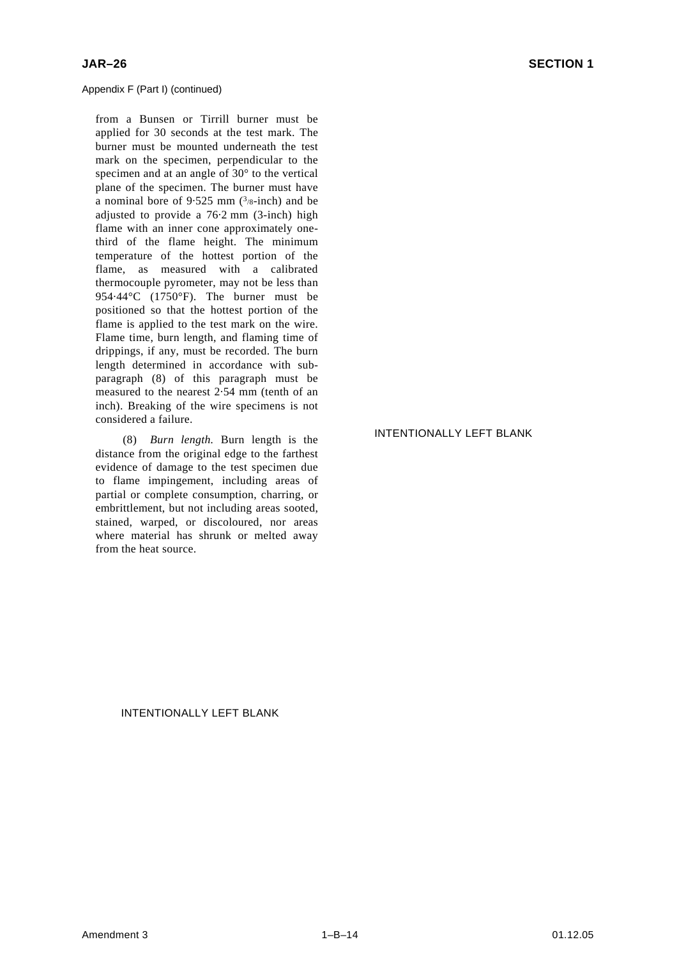from a Bunsen or Tirrill burner must be applied for 30 seconds at the test mark. The burner must be mounted underneath the test mark on the specimen, perpendicular to the specimen and at an angle of 30° to the vertical plane of the specimen. The burner must have a nominal bore of 9.525 mm  $(3/8$ -inch) and be adjusted to provide a 76·2 mm (3-inch) high flame with an inner cone approximately onethird of the flame height. The minimum temperature of the hottest portion of the flame, as measured with a calibrated thermocouple pyrometer, may not be less than 954·44°C (1750°F). The burner must be positioned so that the hottest portion of the flame is applied to the test mark on the wire. Flame time, burn length, and flaming time of drippings, if any, must be recorded. The burn length determined in accordance with subparagraph (8) of this paragraph must be measured to the nearest 2·54 mm (tenth of an inch). Breaking of the wire specimens is not considered a failure.

(8) *Burn length.* Burn length is the distance from the original edge to the farthest evidence of damage to the test specimen due to flame impingement, including areas of partial or complete consumption, charring, or embrittlement, but not including areas sooted, stained, warped, or discoloured, nor areas where material has shrunk or melted away from the heat source.

## INTENTIONALLY LEFT BLANK

INTENTIONALLY LEFT BLANK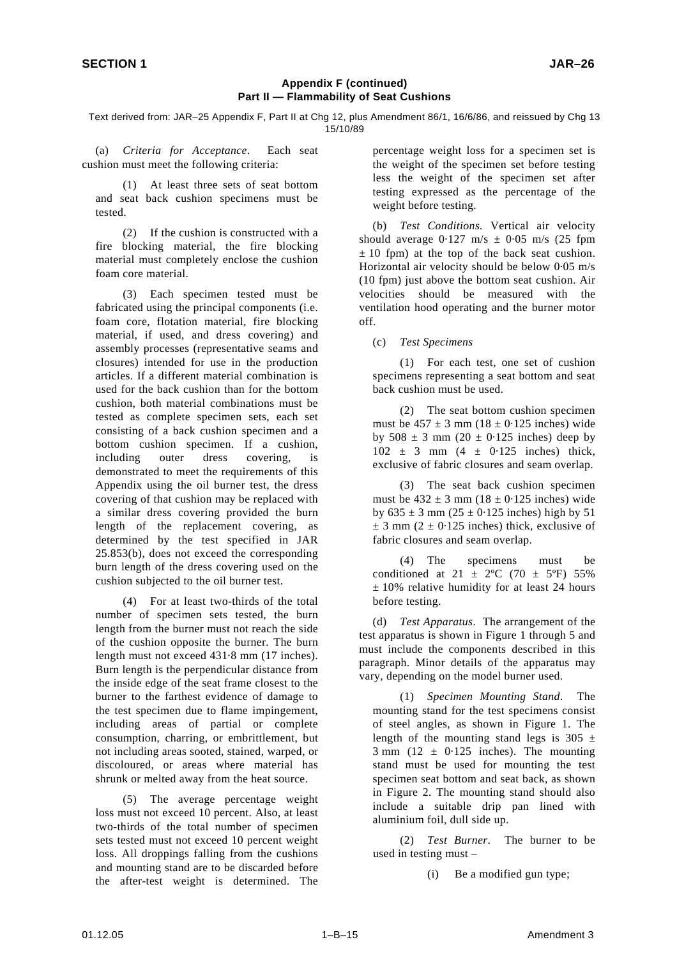#### **Appendix F (continued) Part II — Flammability of Seat Cushions**

Text derived from: JAR–25 Appendix F, Part II at Chg 12, plus Amendment 86/1, 16/6/86, and reissued by Chg 13 15/10/89

(a) *Criteria for Acceptance*. Each seat cushion must meet the following criteria:

At least three sets of seat bottom and seat back cushion specimens must be tested.

(2) If the cushion is constructed with a fire blocking material, the fire blocking material must completely enclose the cushion foam core material.

(3) Each specimen tested must be fabricated using the principal components (i.e. foam core, flotation material, fire blocking material, if used, and dress covering) and assembly processes (representative seams and closures) intended for use in the production articles. If a different material combination is used for the back cushion than for the bottom cushion, both material combinations must be tested as complete specimen sets, each set consisting of a back cushion specimen and a bottom cushion specimen. If a cushion, including outer dress covering, is demonstrated to meet the requirements of this Appendix using the oil burner test, the dress covering of that cushion may be replaced with a similar dress covering provided the burn length of the replacement covering, as determined by the test specified in JAR 25.853(b), does not exceed the corresponding burn length of the dress covering used on the cushion subjected to the oil burner test.

(4) For at least two-thirds of the total number of specimen sets tested, the burn length from the burner must not reach the side of the cushion opposite the burner. The burn length must not exceed  $431.8$  mm (17 inches). Burn length is the perpendicular distance from the inside edge of the seat frame closest to the burner to the farthest evidence of damage to the test specimen due to flame impingement, including areas of partial or complete consumption, charring, or embrittlement, but not including areas sooted, stained, warped, or discoloured, or areas where material has shrunk or melted away from the heat source.

(5) The average percentage weight loss must not exceed 10 percent. Also, at least two-thirds of the total number of specimen sets tested must not exceed 10 percent weight loss. All droppings falling from the cushions and mounting stand are to be discarded before the after-test weight is determined. The

percentage weight loss for a specimen set is the weight of the specimen set before testing less the weight of the specimen set after testing expressed as the percentage of the weight before testing.

(b) *Test Conditions.* Vertical air velocity should average  $0.127 \text{ m/s} \pm 0.05 \text{ m/s}$  (25 fpm)  $\pm$  10 fpm) at the top of the back seat cushion. Horizontal air velocity should be below 0. 05 m/s (10 fpm) just above the bottom seat cushion. Air velocities should be measured with the ventilation hood operating and the burner motor off.

(c) *Test Specimens* 

(1) For each test, one set of cushion specimens representing a seat bottom and seat back cushion must be used.

(2) The seat bottom cushion specimen must be  $457 \pm 3$  mm ( $18 \pm 0.125$  inches) wide by  $508 \pm 3$  mm  $(20 \pm 0.125$  inches) deep by  $102 \pm 3$  mm  $(4 \pm 0.125$  inches) thick, exclusive of fabric closures and seam overlap.

(3) The seat back cushion specimen must be  $432 \pm 3$  mm  $(18 \pm 0.125$  inches) wide by  $635 \pm 3$  mm  $(25 \pm 0.125$  inches) high by 51  $\pm$  3 mm (2  $\pm$  0.125 inches) thick, exclusive of fabric closures and seam overlap.

(4) The specimens must be conditioned at  $21 \pm 2$ <sup>o</sup>C (70  $\pm$  5<sup>o</sup>F) 55%  $\pm$  10% relative humidity for at least 24 hours before testing.

(d) *Test Apparatus*. The arrangement of the test apparatus is shown in Figure 1 through 5 and must include the components described in this paragraph. Minor details of the apparatus may vary, depending on the model burner used.

(1) *Specimen Mounting Stand*. The mounting stand for the test specimens consist of steel angles, as shown in Figure 1. The length of the mounting stand legs is  $305 \pm$  $3 \text{ mm}$  (12  $\pm$  0.125 inches). The mounting stand must be used for mounting the test specimen seat bottom and seat back, as shown in Figure 2. The mounting stand should also include a suitable drip pan lined with aluminium foil, dull side up.

(2) *Test Burner*. The burner to be used in testing must –

(i) Be a modified gun type;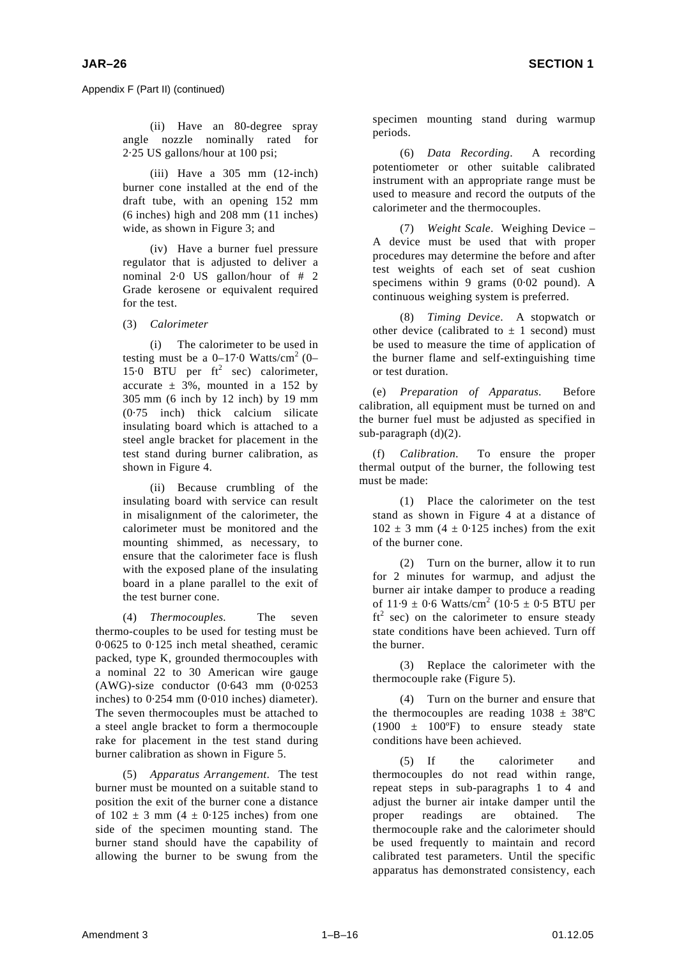(ii) Have an 80-degree spray angle nozzle nominally rated for 2·25 US gallons/hour at 100 psi;

(iii) Have a 305 mm (12-inch) burner cone installed at the end of the draft tube, with an opening 152 mm (6 inches) high and 208 mm (11 inches) wide, as shown in Figure 3; and

(iv) Have a burner fuel pressure regulator that is adjusted to deliver a nominal 2·0 US gallon/hour of # 2 Grade kerosene or equivalent required for the test.

(3) *Calorimeter* 

(i) The calorimeter to be used in testing must be a  $0-17.0$  Watts/cm<sup>2</sup>  $(0-$ 15.0 BTU per  $ft^2$  sec) calorimeter, accurate  $\pm$  3%, mounted in a 152 by 305 mm (6 inch by 12 inch) by 19 mm (0·75 inch) thick calcium silicate insulating board which is attached to a steel angle bracket for placement in the test stand during burner calibration, as shown in Figure 4.

(ii) Because crumbling of the insulating board with service can result in misalignment of the calorimeter, the calorimeter must be monitored and the mounting shimmed, as necessary, to ensure that the calorimeter face is flush with the exposed plane of the insulating board in a plane parallel to the exit of the test burner cone.

(4) *Thermocouples.* The seven thermo-couples to be used for testing must be 0·0625 to 0·125 inch metal sheathed, ceramic packed, type K, grounded thermocouples with a nominal 22 to 30 American wire gauge  $(AWG)$ -size conductor  $(0.643$  mm  $(0.0253)$ inches) to 0·254 mm (0·010 inches) diameter). The seven thermocouples must be attached to a steel angle bracket to form a thermocouple rake for placement in the test stand during burner calibration as shown in Figure 5.

(5) *Apparatus Arrangement*. The test burner must be mounted on a suitable stand to position the exit of the burner cone a distance of  $102 \pm 3$  mm  $(4 \pm 0.125$  inches) from one side of the specimen mounting stand. The burner stand should have the capability of allowing the burner to be swung from the specimen mounting stand during warmup periods.

(6) *Data Recording*. A recording potentiometer or other suitable calibrated instrument with an appropriate range must be used to measure and record the outputs of the calorimeter and the thermocouples.

(7) *Weight Scale*. Weighing Device – A device must be used that with proper procedures may determine the before and after test weights of each set of seat cushion specimens within 9 grams  $(0.02 \text{ pound})$ . A continuous weighing system is preferred.

(8) *Timing Device*. A stopwatch or other device (calibrated to  $\pm$  1 second) must be used to measure the time of application of the burner flame and self-extinguishing time or test duration.

(e) *Preparation of Apparatus*. Before calibration, all equipment must be turned on and the burner fuel must be adjusted as specified in sub-paragraph (d)(2).

(f) *Calibration.* To ensure the proper thermal output of the burner, the following test must be made:

(1) Place the calorimeter on the test stand as shown in Figure 4 at a distance of  $102 \pm 3$  mm  $(4 \pm 0.125$  inches) from the exit of the burner cone.

(2) Turn on the burner, allow it to run for 2 minutes for warmup, and adjust the burner air intake damper to produce a reading of  $11.9 \pm 0.6$  Watts/cm<sup>2</sup> (10.5  $\pm$  0.5 BTU per  $ft<sup>2</sup>$  sec) on the calorimeter to ensure steady state conditions have been achieved. Turn off the burner.

(3) Replace the calorimeter with the thermocouple rake (Figure 5).

(4) Turn on the burner and ensure that the thermocouples are reading  $1038 \pm 38^{\circ}\text{C}$  $(1900 \pm 100$ °F) to ensure steady state conditions have been achieved.

(5) If the calorimeter and thermocouples do not read within range, repeat steps in sub-paragraphs 1 to 4 and adjust the burner air intake damper until the proper readings are obtained. The thermocouple rake and the calorimeter should be used frequently to maintain and record calibrated test parameters. Until the specific apparatus has demonstrated consistency, each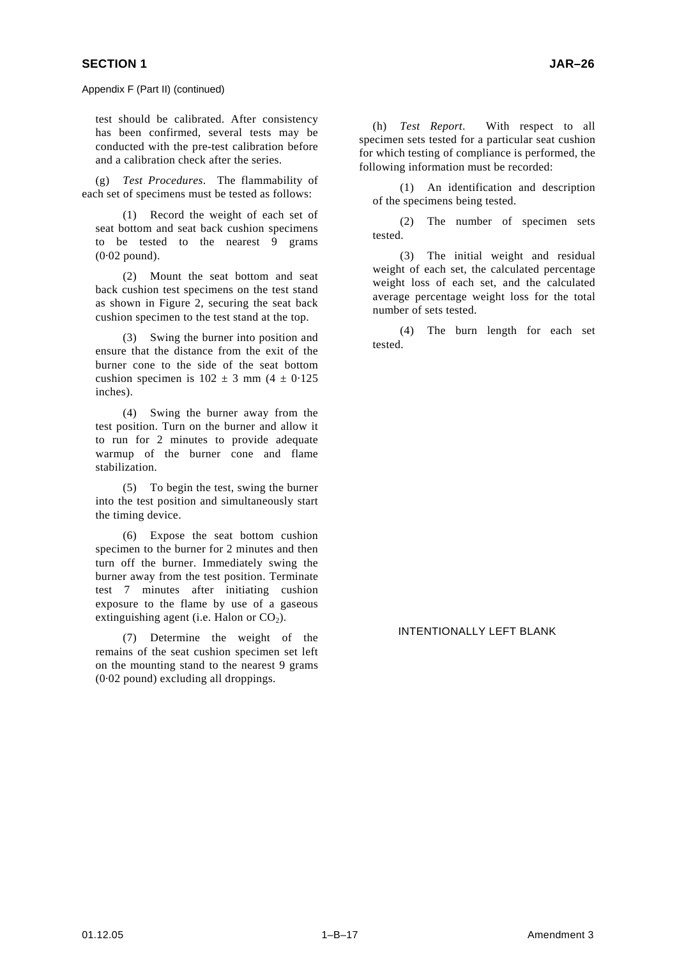test should be calibrated. After consistency has been confirmed, several tests may be conducted with the pre-test calibration before and a calibration check after the series.

(g) *Test Procedures*. The flammability of  $\begin{array}{ll}\n\text{(g)} & \text{Test The Hamiltonian} \\
\text{each set of specimens must be tested as follows:}\n\end{array}$ (1) An identification and description

(1) Record the weight of each set of seat bottom and seat back cushion specimens to be tested to the nearest  $\overline{9}$  grams (0·02 pound).

(2) Mount the seat bottom and seat back cushion test specimens on the test stand as shown in Figure 2, securing the seat back cushion specimen to the test stand at the top.

(3) Swing the burner into position and tested. ensure that the distance from the exit of the burner cone to the side of the seat bottom cushion specimen is  $102 \pm 3$  mm  $(4 \pm 0.125)$ inches).

(4) Swing the burner away from the test position. Turn on the burner and allow it to run for 2 minutes to provide adequate warmup of the burner cone and flame stabilization.

(5) To begin the test, swing the burner into the test position and simultaneously start the timing device.

(6) Expose the seat bottom cushion specimen to the burner for 2 minutes and then turn off the burner. Immediately swing the burner away from the test position. Terminate test 7 minutes after initiating cushion exposure to the flame by use of a gaseous extinguishing agent (i.e. Halon or  $CO<sub>2</sub>$ ).

INTENTIONALLY LEFT BLANK (7) Determine the weight of the remains of the seat cushion specimen set left on the mounting stand to the nearest 9 grams (0·02 pound) excluding all droppings.

(h) *Test Report*. With respect to all specimen sets tested for a particular seat cushion for which testing of compliance is performed, the following information must be recorded:

of the specimens being tested.

(2) The number of specimen sets tested.

(3) The initial weight and residual weight of each set, the calculated percentage weight loss of each set, and the calculated average percentage weight loss for the total number of sets tested.

(4) The burn length for each set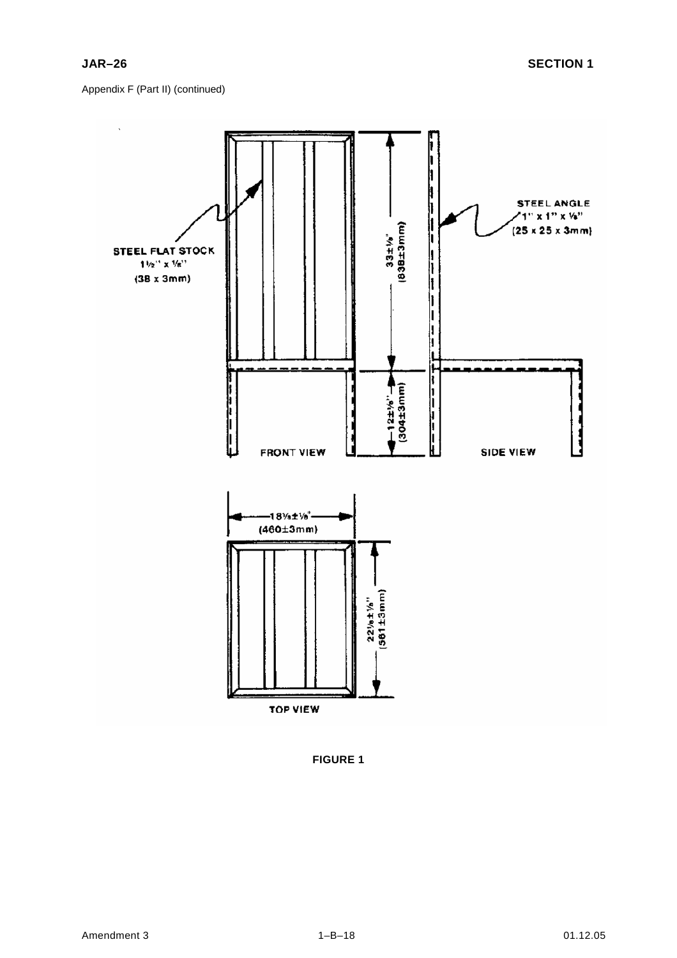

**FIGURE 1**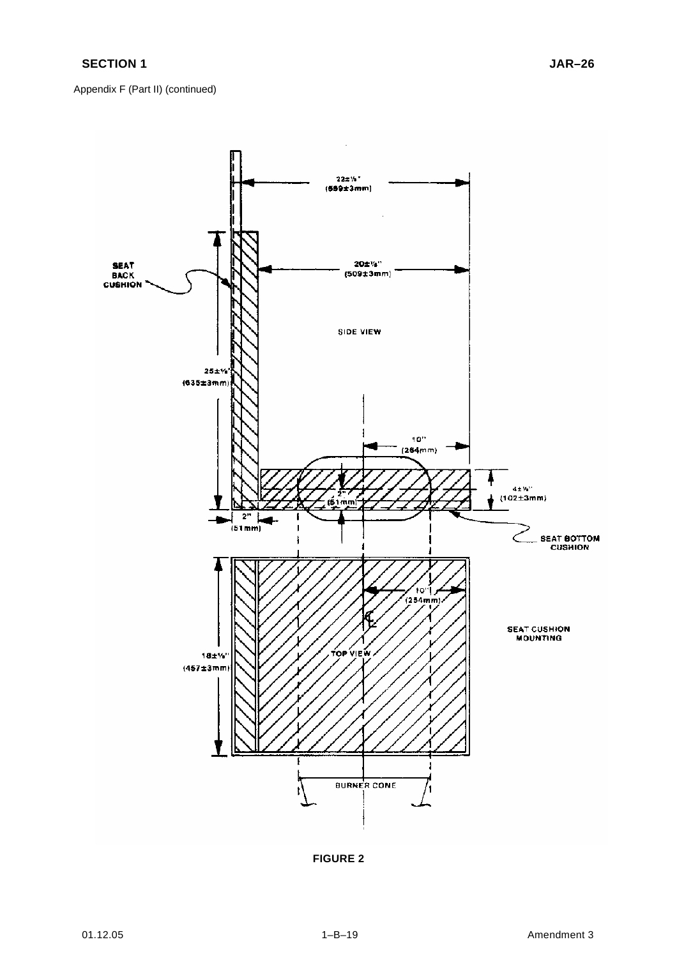

**FIGURE 2**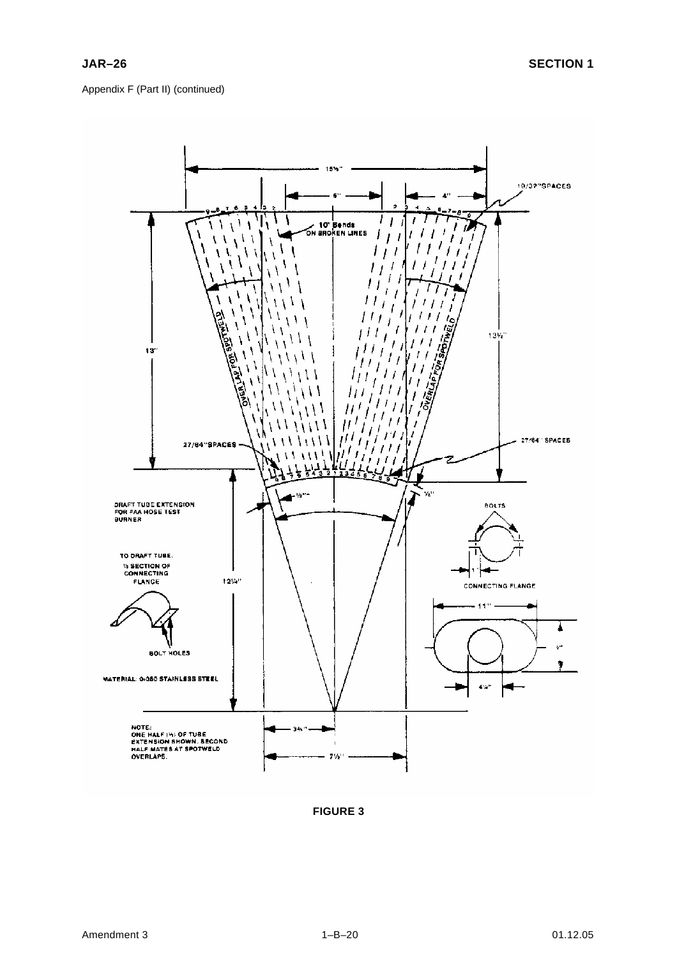

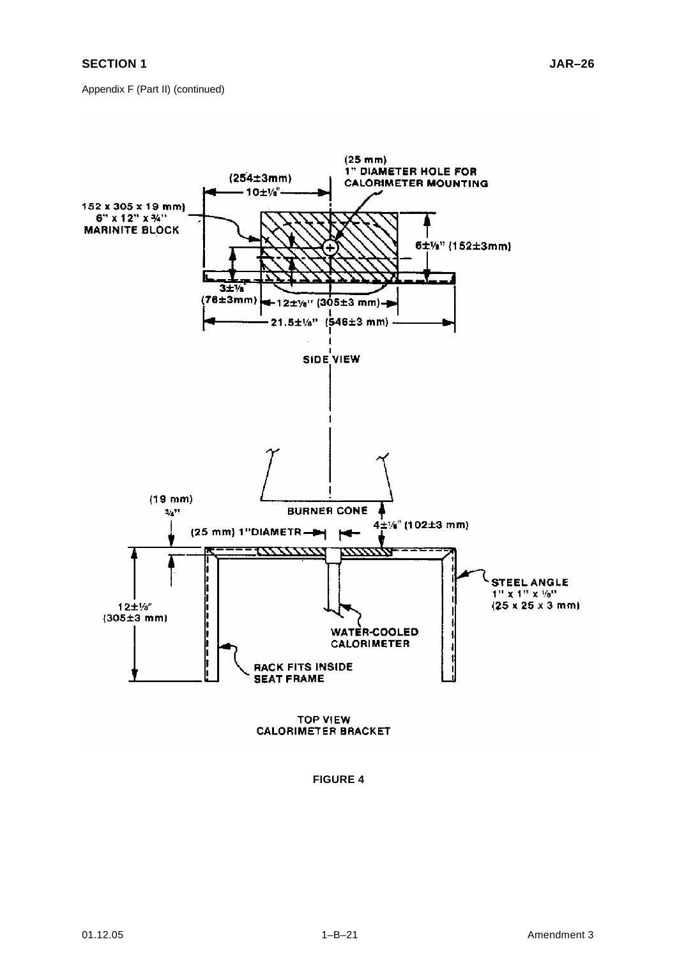

**FIGURE 4**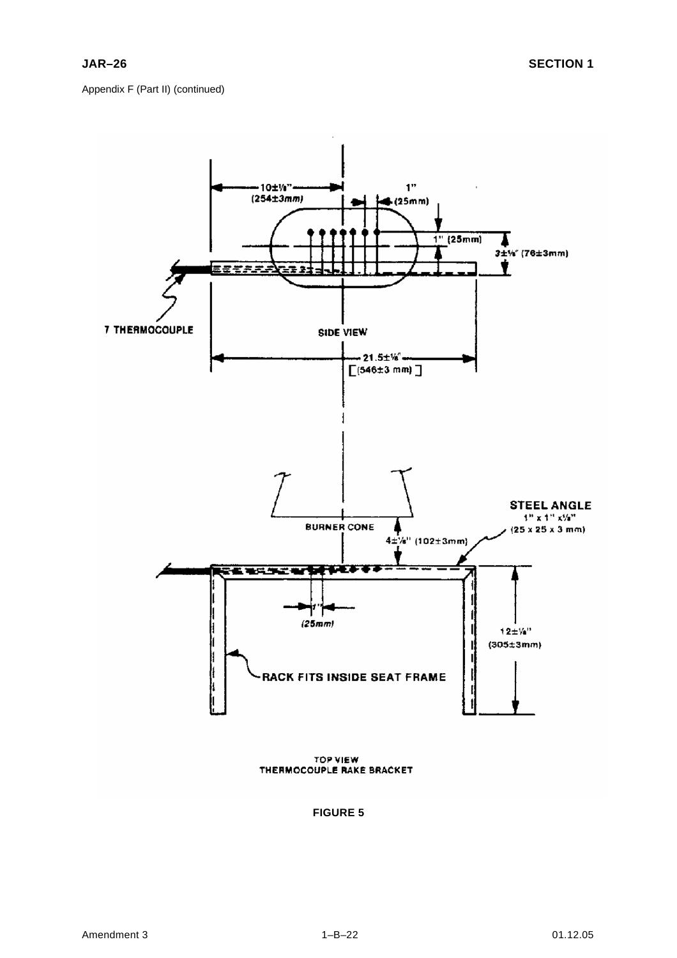

**TOP VIEW** THERMOCOUPLE RAKE BRACKET

## **FIGURE 5**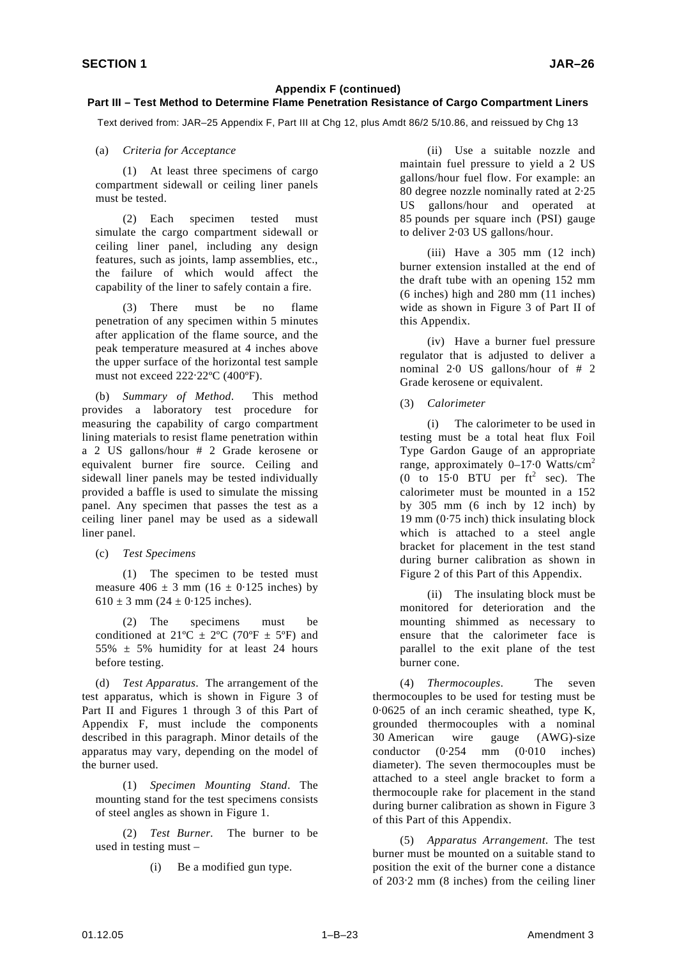## **Appendix F (continued)**

## **Part III – Test Method to Determine Flame Penetration Resistance of Cargo Compartment Liners**

Text derived from: JAR–25 Appendix F, Part III at Chg 12, plus Amdt 86/2 5/10.86, and reissued by Chg 13

### (a) *Criteria for Acceptance*

(1) At least three specimens of cargo compartment sidewall or ceiling liner panels must be tested.

(2) Each specimen tested must simulate the cargo compartment sidewall or ceiling liner panel, including any design features, such as joints, lamp assemblies, etc., the failure of which would affect the capability of the liner to safely contain a fire.

(3) There must be no flame penetration of any specimen within 5 minutes after application of the flame source, and the peak temperature measured at 4 inches above the upper surface of the horizontal test sample must not exceed 222. 22ºC (400ºF).

(b) *Summary of Method*. This method provides a laboratory test procedure for measuring the capability of cargo compartment lining materials to resist flame penetration within a 2 US gallons/hour # 2 Grade kerosene or equivalent burner fire source. Ceiling and sidewall liner panels may be tested individually provided a baffle is used to simulate the missing panel. Any specimen that passes the test as a ceiling liner panel may be used as a sidewall liner panel.

(c) *Test Specimens* 

(1) The specimen to be tested must measure  $406 \pm 3$  mm  $(16 \pm 0.125$  inches) by 610  $\pm$  3 mm (24  $\pm$  0·125 inches).

(2) The specimens must be conditioned at  $21^{\circ}$ C  $\pm 2^{\circ}$ C (70°F  $\pm 5^{\circ}$ F) and 55% ± 5% humidity for at least 24 hours before testing.

(d) *Test Apparatus*. The arrangement of the test apparatus, which is shown in Figure 3 of Part II and Figures 1 through 3 of this Part of Appendix F, must include the components described in this paragraph. Minor details of the apparatus may vary, depending on the model of the burner used.

(1) *Specimen Mounting Stand*. The mounting stand for the test specimens consists of steel angles as shown in Figure 1.

(2) *Test Burner.* The burner to be used in testing must –

(i) Be a modified gun type.

(ii) Use a suitable nozzle and maintain fuel pressure to yield a 2 US gallons/hour fuel flow. For example: an 80 degree nozzle nominally rated at 2·25 US gallons/hour and operated at 85 pounds per square inch (PSI) gauge to deliver 2·03 US gallons/hour.

(iii) Have a 305 mm (12 inch) burner extension installed at the end of the draft tube with an opening 152 mm (6 inches) high and 280 mm (11 inches) wide as shown in Figure 3 of Part II of this Appendix.

(iv) Have a burner fuel pressure regulator that is adjusted to deliver a nominal 2·0 US gallons/hour of # 2 Grade kerosene or equivalent.

(3) *Calorimeter*

(i) The calorimeter to be used in testing must be a total heat flux Foil Type Gardon Gauge of an appropriate range, approximately  $0-17.0$  Watts/cm<sup>2</sup> (0 to 15.0 BTU per  $ft^2$  sec). The calorimeter must be mounted in a 152 by 305 mm (6 inch by 12 inch) by 19 mm (0·75 inch) thick insulating block which is attached to a steel angle bracket for placement in the test stand during burner calibration as shown in Figure 2 of this Part of this Appendix.

(ii) The insulating block must be monitored for deterioration and the mounting shimmed as necessary to ensure that the calorimeter face is parallel to the exit plane of the test burner cone.

(4) *Thermocouples*. The seven thermocouples to be used for testing must be 0·0625 of an inch ceramic sheathed, type K, grounded thermocouples with a nominal 30 American wire gauge (AWG)-size conductor (0·254 mm (0·010 inches) diameter). The seven thermocouples must be attached to a steel angle bracket to form a thermocouple rake for placement in the stand during burner calibration as shown in Figure 3 of this Part of this Appendix.

(5) *Apparatus Arrangement*. The test burner must be mounted on a suitable stand to position the exit of the burner cone a distance of 203. 2 mm (8 inches) from the ceiling liner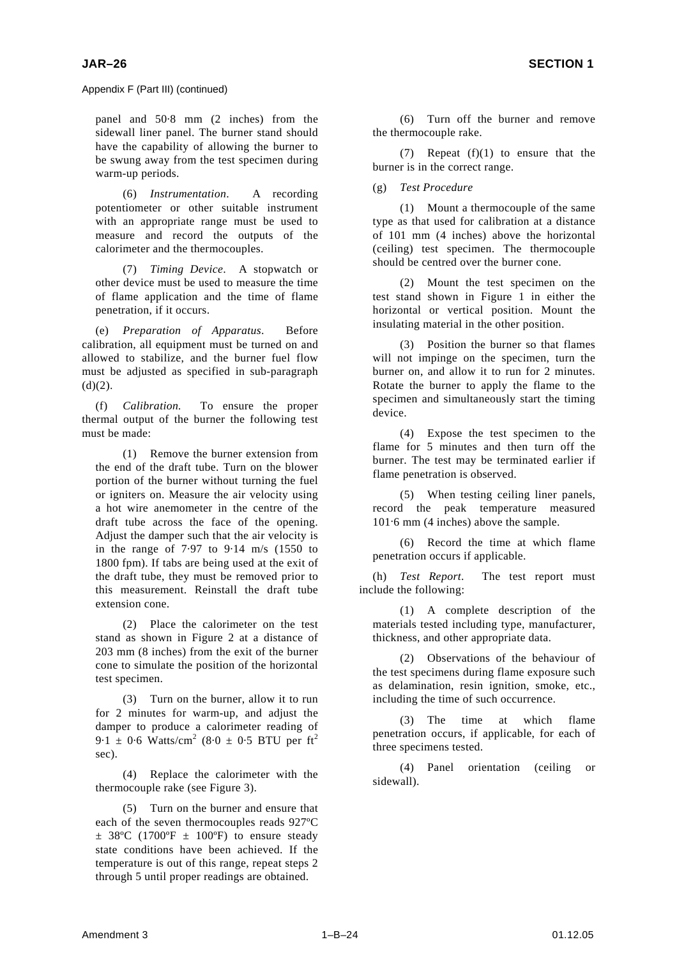panel and 50. 8 mm (2 inches) from the sidewall liner panel. The burner stand should have the capability of allowing the burner to be swung away from the test specimen during warm-up periods.

(g) *Test Procedure* (6) *Instrumentation*. A recording potentiometer or other suitable instrument with an appropriate range must be used to measure and record the outputs of the calorimeter and the thermocouples.

other device must be used to measure the time of flame application and the time of flame penetration, if it occurs.

insulating material in the other position. (e) *Preparation of Apparatus*. Before calibration, all equipment must be turned on and allowed to stabilize, and the burner fuel flow must be adjusted as specified in sub-paragraph  $(d)(2)$ .

(f) *Calibration*. To ensure the proper specific specific thermal output of the burner the following test must be made: (4) Expose the test specimen to the

(1) Remove the burner extension from the end of the draft tube. Turn on the blower portion of the burner without turning the fuel or igniters on. Measure the air velocity using a hot wire anemometer in the centre of the draft tube across the face of the opening. Adjust the damper such that the air velocity is in the range of  $7.97$  to  $9.14$  m/s  $(1550$  to 1800 fpm). If tabs are being used at the exit of the draft tube, they must be removed prior to this measurement. Reinstall the draft tube extension cone.

(2) Place the calorimeter on the test stand as shown in Figure 2 at a distance of 203 mm (8 inches) from the exit of the burner cone to simulate the position of the horizontal test specimen.

(3) Turn on the burner, allow it to run including the time of such occurrence. for 2 minutes for warm-up, and adjust the damper to produce a calorimeter reading of 9.1  $\pm$  0.6 Watts/cm<sup>2</sup> (8.0  $\pm$  0.5 BTU per ft<sup>2</sup> sec).

(4) Replace the calorimeter with the  $\left(4\right)$  sidewall). thermocouple rake (see Figure 3).

(5) Turn on the burner and ensure that each of the seven thermocouples reads 927ºC  $\pm$  38°C (1700°F  $\pm$  100°F) to ensure steady state conditions have been achieved. If the temperature is out of this range, repeat steps 2 through 5 until proper readings are obtained.

(6) Turn off the burner and remove the thermocouple rake.

(7) Repeat  $(f)(1)$  to ensure that the burner is in the correct range.

(1) Mount a thermocouple of the same type as that used for calibration at a distance of 101 mm (4 inches) above the horizontal (ceiling) test specimen. The thermocouple should be centred over the burner cone. (7) *Timing Device*. A stopwatch or

> (2) Mount the test specimen on the test stand shown in Figure 1 in either the horizontal or vertical position. Mount the

> (3) Position the burner so that flames will not impinge on the specimen, turn the burner on, and allow it to run for 2 minutes. Rotate the burner to apply the flame to the specimen and simultaneously start the timing

> flame for 5 minutes and then turn off the burner. The test may be terminated earlier if flame penetration is observed.

> (5) When testing ceiling liner panels, record the peak temperature measured 101. 6 mm (4 inches) above the sample.

> (6) Record the time at which flame penetration occurs if applicable.

(h) *Test Report*. The test report must include the following:

(1) A complete description of the materials tested including type, manufacturer, thickness, and other appropriate data.

(2) Observations of the behaviour of the test specimens during flame exposure such as delamination, resin ignition, smoke, etc.,

(3) The time at which flame penetration occurs, if applicable, for each of three specimens tested.

(4) Panel orientation (ceiling or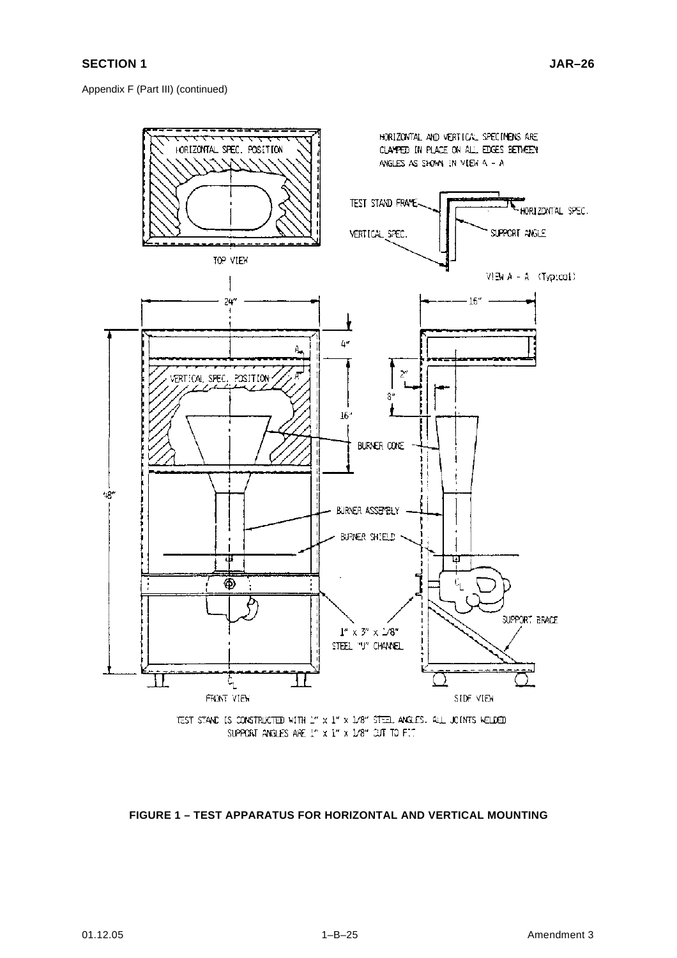

TEST STAND IS CONSTRUCTED WITH 1" x 1" x 1/8" STEEL ANGLES. ALL JOINTS WELDED SUPPORT ANGLES ARE 1" x 1" x 1/8" CUT TO FIT

## **FIGURE 1 – TEST APPARATUS FOR HORIZONTAL AND VERTICAL MOUNTING**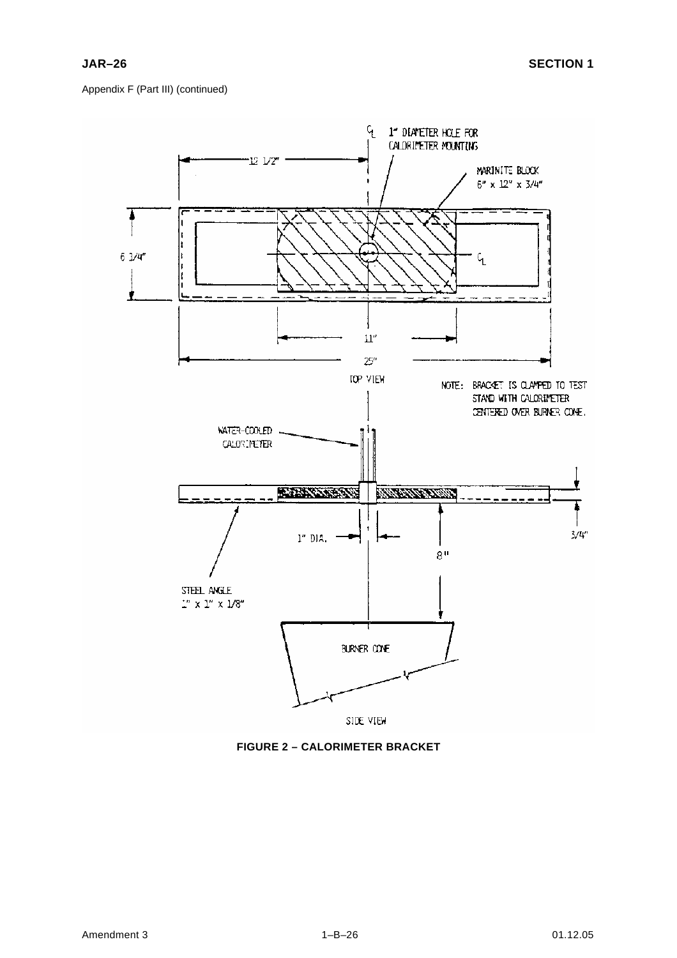

**FIGURE 2 – CALORIMETER BRACKET**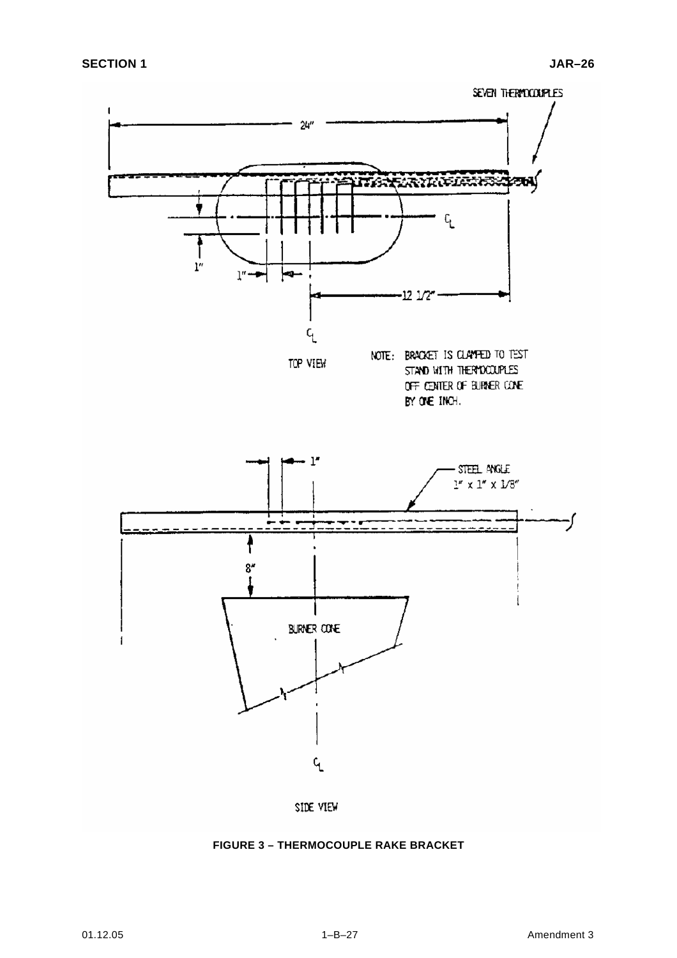

**FIGURE 3 – THERMOCOUPLE RAKE BRACKET**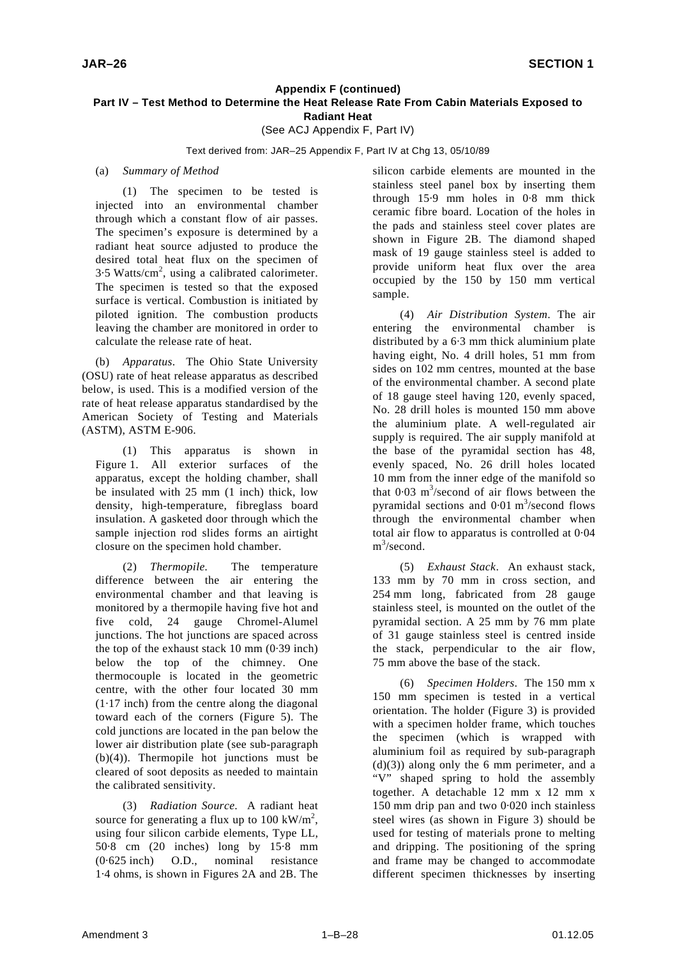### **Appendix F (continued) Part IV – Test Method to Determine the Heat Release Rate From Cabin Materials Exposed to Radiant Heat** (See ACJ Appendix F, Part IV)

Text derived from: JAR–25 Appendix F, Part IV at Chg 13, 05/10/89

### (a) *Summary of Method*

(1) The specimen to be tested is injected into an environmental chamber through which a constant flow of air passes. The specimen's exposure is determined by a radiant heat source adjusted to produce the desired total heat flux on the specimen of  $3.5$  Watts/cm<sup>2</sup>, using a calibrated calorimeter. The specimen is tested so that the exposed surface is vertical. Combustion is initiated by piloted ignition. The combustion products leaving the chamber are monitored in order to calculate the release rate of heat.

(b) *Apparatus*. The Ohio State University (OSU) rate of heat release apparatus as described below, is used. This is a modified version of the rate of heat release apparatus standardised by the American Society of Testing and Materials (ASTM), ASTM E-906.

(1) This apparatus is shown in Figure 1. All exterior surfaces of the apparatus, except the holding chamber, shall be insulated with 25 mm (1 inch) thick, low density, high-temperature, fibreglass board insulation. A gasketed door through which the sample injection rod slides forms an airtight closure on the specimen hold chamber.

(2) *Thermopile.* The temperature difference between the air entering the environmental chamber and that leaving is monitored by a thermopile having five hot and five cold, 24 gauge Chromel-Alumel junctions. The hot junctions are spaced across the top of the exhaust stack 10 mm  $(0.39 \text{ inch})$ below the top of the chimney. One thermocouple is located in the geometric centre, with the other four located 30 mm (1. 17 inch) from the centre along the diagonal toward each of the corners (Figure 5). The cold junctions are located in the pan below the lower air distribution plate (see sub-paragraph (b)(4)). Thermopile hot junctions must be cleared of soot deposits as needed to maintain the calibrated sensitivity.

(3) *Radiation Source*. A radiant heat source for generating a flux up to 100 kW/m<sup>2</sup>, using four silicon carbide elements, Type LL, 50·8 cm (20 inches) long by 15·8 mm (0·625 inch) O.D., nominal resistance 1·4 ohms, is shown in Figures 2A and 2B. The

silicon carbide elements are mounted in the stainless steel panel box by inserting them through 15·9 mm holes in 0·8 mm thick ceramic fibre board. Location of the holes in the pads and stainless steel cover plates are shown in Figure 2B. The diamond shaped mask of 19 gauge stainless steel is added to provide uniform heat flux over the area occupied by the 150 by 150 mm vertical sample.

(4) *Air Distribution System*. The air entering the environmental chamber is distributed by a 6·3 mm thick aluminium plate having eight, No. 4 drill holes, 51 mm from sides on 102 mm centres, mounted at the base of the environmental chamber. A second plate of 18 gauge steel having 120, evenly spaced, No. 28 drill holes is mounted 150 mm above the aluminium plate. A well-regulated air supply is required. The air supply manifold at the base of the pyramidal section has 48, evenly spaced, No. 26 drill holes located 10 mm from the inner edge of the manifold so that  $0.03 \text{ m}^3/\text{second}$  of air flows between the pyramidal sections and  $0.01 \text{ m}^3/\text{second}$  flows through the environmental chamber when total air flow to apparatus is controlled at 0·04 m<sup>3</sup>/second.

(5) *Exhaust Stack*. An exhaust stack, 133 mm by 70 mm in cross section, and 254 mm long, fabricated from 28 gauge stainless steel, is mounted on the outlet of the pyramidal section. A 25 mm by 76 mm plate of 31 gauge stainless steel is centred inside the stack, perpendicular to the air flow, 75 mm above the base of the stack.

(6) *Specimen Holders*. The 150 mm x 150 mm specimen is tested in a vertical orientation. The holder (Figure 3) is provided with a specimen holder frame, which touches the specimen (which is wrapped with aluminium foil as required by sub-paragraph  $(d)(3)$ ) along only the 6 mm perimeter, and a "V" shaped spring to hold the assembly together. A detachable 12 mm x 12 mm x 150 mm drip pan and two 0·020 inch stainless steel wires (as shown in Figure 3) should be used for testing of materials prone to melting and dripping. The positioning of the spring and frame may be changed to accommodate different specimen thicknesses by inserting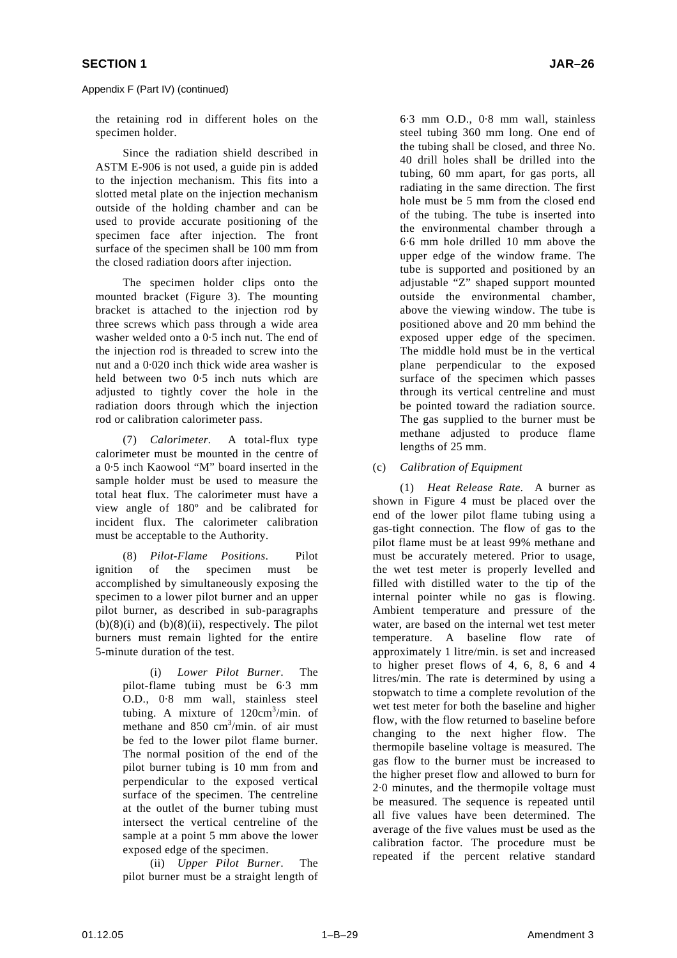the retaining rod in different holes on the specimen holder.

Since the radiation shield described in ASTM E-906 is not used, a guide pin is added to the injection mechanism. This fits into a slotted metal plate on the injection mechanism outside of the holding chamber and can be used to provide accurate positioning of the specimen face after injection. The front surface of the specimen shall be 100 mm from the closed radiation doors after injection.

The specimen holder clips onto the mounted bracket (Figure 3). The mounting bracket is attached to the injection rod by three screws which pass through a wide area washer welded onto a 0·5 inch nut. The end of the injection rod is threaded to screw into the nut and a 0·020 inch thick wide area washer is held between two 0·5 inch nuts which are adjusted to tightly cover the hole in the radiation doors through which the injection rod or calibration calorimeter pass.

(7) *Calorimeter.* A total-flux type calorimeter must be mounted in the centre of a 0·5 inch Kaowool "M" board inserted in the sample holder must be used to measure the total heat flux. The calorimeter must have a view angle of 180º and be calibrated for incident flux. The calorimeter calibration must be acceptable to the Authority.

(8) *Pilot-Flame Positions*. Pilot ignition of the specimen must be accomplished by simultaneously exposing the specimen to a lower pilot burner and an upper pilot burner, as described in sub-paragraphs  $(b)(8)(i)$  and  $(b)(8)(ii)$ , respectively. The pilot burners must remain lighted for the entire 5-minute duration of the test.

> (i) *Lower Pilot Burner*. The pilot-flame tubing must be 6·3 mm O.D., 0·8 mm wall, stainless steel tubing. A mixture of  $120 \text{cm}^3/\text{min}$ . of methane and  $850 \text{ cm}^3/\text{min}$ . of air must be fed to the lower pilot flame burner. The normal position of the end of the pilot burner tubing is 10 mm from and perpendicular to the exposed vertical surface of the specimen. The centreline at the outlet of the burner tubing must intersect the vertical centreline of the sample at a point 5 mm above the lower exposed edge of the specimen.

> (ii) *Upper Pilot Burner*. The pilot burner must be a straight length of

6·3 mm O.D., 0·8 mm wall, stainless steel tubing 360 mm long. One end of the tubing shall be closed, and three No. 40 drill holes shall be drilled into the tubing, 60 mm apart, for gas ports, all radiating in the same direction. The first hole must be 5 mm from the closed end of the tubing. The tube is inserted into the environmental chamber through a 6·6 mm hole drilled 10 mm above the upper edge of the window frame. The tube is supported and positioned by an adjustable "Z" shaped support mounted outside the environmental chamber, above the viewing window. The tube is positioned above and 20 mm behind the exposed upper edge of the specimen. The middle hold must be in the vertical plane perpendicular to the exposed surface of the specimen which passes through its vertical centreline and must be pointed toward the radiation source. The gas supplied to the burner must be methane adjusted to produce flame lengths of 25 mm.

(c) *Calibration of Equipment*

(1) *Heat Release Rate*. A burner as shown in Figure 4 must be placed over the end of the lower pilot flame tubing using a gas-tight connection. The flow of gas to the pilot flame must be at least 99% methane and must be accurately metered. Prior to usage, the wet test meter is properly levelled and filled with distilled water to the tip of the internal pointer while no gas is flowing. Ambient temperature and pressure of the water, are based on the internal wet test meter temperature. A baseline flow rate of approximately 1 litre/min. is set and increased to higher preset flows of 4, 6, 8, 6 and 4 litres/min. The rate is determined by using a stopwatch to time a complete revolution of the wet test meter for both the baseline and higher flow, with the flow returned to baseline before changing to the next higher flow. The thermopile baseline voltage is measured. The gas flow to the burner must be increased to the higher preset flow and allowed to burn for 2·0 minutes, and the thermopile voltage must be measured. The sequence is repeated until all five values have been determined. The average of the five values must be used as the calibration factor. The procedure must be repeated if the percent relative standard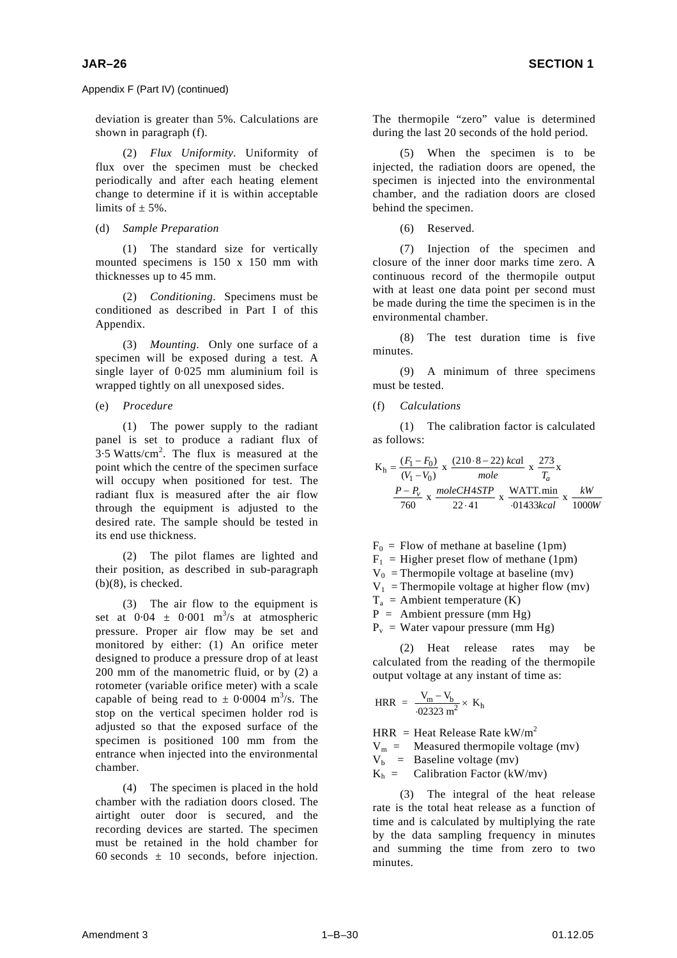deviation is greater than 5%. Calculations are shown in paragraph (f).

(2) *Flux Uniformity*. Uniformity of flux over the specimen must be checked periodically and after each heating element change to determine if it is within acceptable limits of  $\pm$  5%.

## (d) *Sample Preparation*

(1) The standard size for vertically mounted specimens is 150 x 150 mm with thicknesses up to 45 mm.

(2) *Conditioning*. Specimens must be conditioned as described in Part I of this Appendix.

(3) *Mounting*. Only one surface of a specimen will be exposed during a test. A single layer of 0·025 mm aluminium foil is wrapped tightly on all unexposed sides.

(e) *Procedure*

(1) The power supply to the radiant panel is set to produce a radiant flux of  $3.5$  Watts/cm<sup>2</sup>. The flux is measured at the point which the centre of the specimen surface will occupy when positioned for test. The radiant flux is measured after the air flow through the equipment is adjusted to the desired rate. The sample should be tested in its end use thickness.

(2) The pilot flames are lighted and their position, as described in sub-paragraph  $(b)(8)$ , is checked.

(3) The air flow to the equipment is set at  $0.04 \pm 0.001$  m<sup>3</sup>/s at atmospheric pressure. Proper air flow may be set and monitored by either: (1) An orifice meter designed to produce a pressure drop of at least 200 mm of the manometric fluid, or by (2) a rotometer (variable orifice meter) with a scale capable of being read to  $\pm$  0.0004 m<sup>3</sup>/s. The stop on the vertical specimen holder rod is adjusted so that the exposed surface of the specimen is positioned 100 mm from the entrance when injected into the environmental chamber.

(4) The specimen is placed in the hold chamber with the radiation doors closed. The airtight outer door is secured, and the recording devices are started. The specimen must be retained in the hold chamber for 60 seconds  $\pm$  10 seconds, before injection.

The thermopile "zero" value is determined during the last 20 seconds of the hold period.

(5) When the specimen is to be injected, the radiation doors are opened, the specimen is injected into the environmental chamber, and the radiation doors are closed behind the specimen.

(6) Reserved.

(7) Injection of the specimen and closure of the inner door marks time zero. A continuous record of the thermopile output with at least one data point per second must be made during the time the specimen is in the environmental chamber.

(8) The test duration time is five minutes.

(9) A minimum of three specimens must be tested.

### (f) *Calculations*

(1) The calibration factor is calculated as follows:

$$
K_{h} = \frac{(F_{1} - F_{0})}{(V_{1} - V_{0})} \times \frac{(210 \cdot 8 - 22) \text{ kcal}}{\text{mole}} \times \frac{273}{T_{a}} \times
$$
  

$$
\frac{P - P_{v}}{760} \times \frac{\text{moleCH4STP}}{22 \cdot 41} \times \frac{\text{WATT.min}}{01433 \text{kcal}} \times \frac{kW}{1000W}
$$

 $F_0$  = Flow of methane at baseline (1pm)  $F_1$  = Higher preset flow of methane (1pm)  $V_0$  = Thermopile voltage at baseline (mv)  $V_1$  = Thermopile voltage at higher flow (mv)  $T_a$  = Ambient temperature (K)  $P =$  Ambient pressure (mm Hg)  $P_v$  = Water vapour pressure (mm Hg)

(2) Heat release rates may be calculated from the reading of the thermopile output voltage at any instant of time as:

$$
HRR = \frac{V_m - V_b}{.02323 \text{ m}^2} \times K_h
$$

 $HRR = Heat Release Rate kW/m<sup>2</sup>$ 

 $V_m$  = Measured thermopile voltage (mv)

 $V_b$  = Baseline voltage (mv)

 $K_h$  = Calibration Factor (kW/mv)

(3) The integral of the heat release rate is the total heat release as a function of time and is calculated by multiplying the rate by the data sampling frequency in minutes and summing the time from zero to two minutes.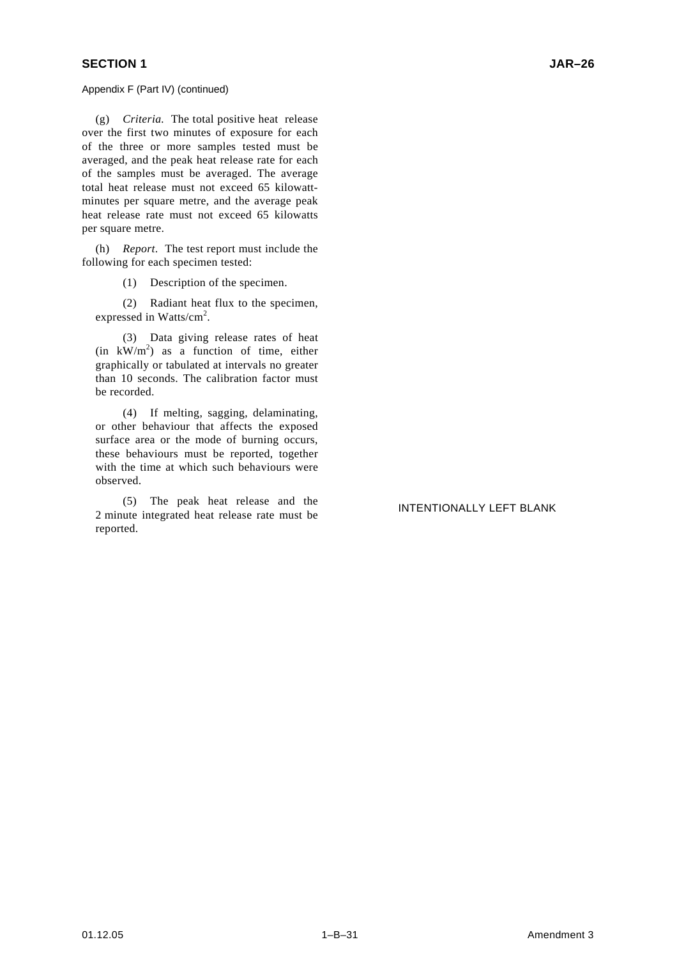## **SECTION 1** JAR–26

#### Appendix F (Part IV) (continued)

(g) *Criteria.* The total positive heat release over the first two minutes of exposure for each of the three or more samples tested must be averaged, and the peak heat release rate for each of the samples must be averaged. The average total heat release must not exceed 65 kilowattminutes per square metre, and the average peak heat release rate must not exceed 65 kilowatts per square metre.

(h) *Report*. The test report must include the following for each specimen tested:

(1) Description of the specimen.

(2) Radiant heat flux to the specimen, expressed in Watts/ $\text{cm}^2$ .

(3) Data giving release rates of heat  $(in \t kW/m<sup>2</sup>)$  as a function of time, either graphically or tabulated at intervals no greater than 10 seconds. The calibration factor must be recorded.

(4) If melting, sagging, delaminating, or other behaviour that affects the exposed surface area or the mode of burning occurs, these behaviours must be reported, together with the time at which such behaviours were observed.

(5) The peak heat release and the 2 minute integrated heat release rate must be reported.

INTENTIONALLY LEFT BLANK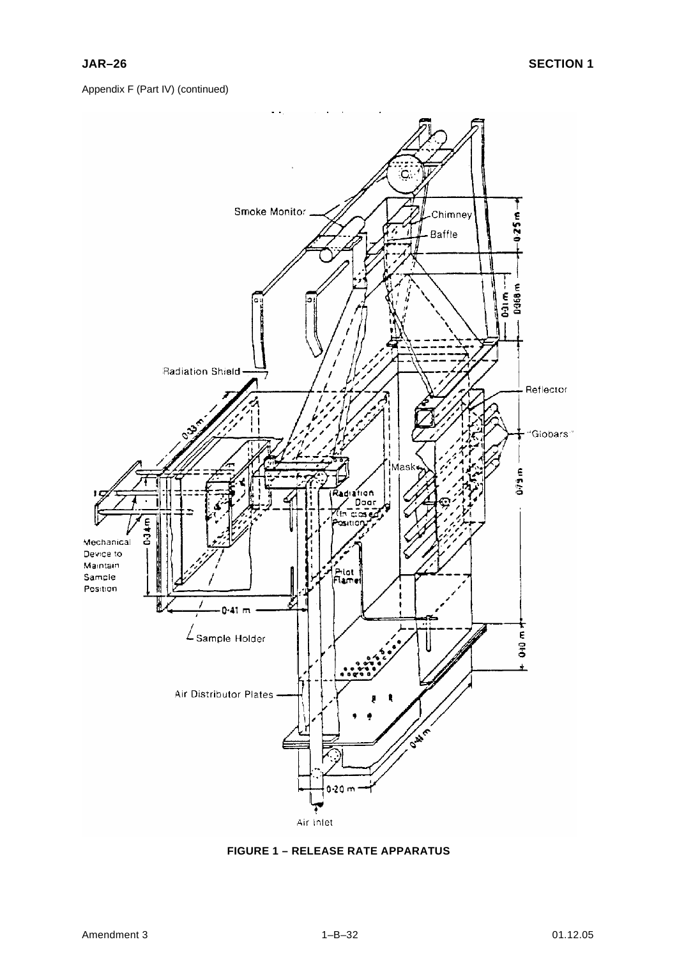

**FIGURE 1 – RELEASE RATE APPARATUS**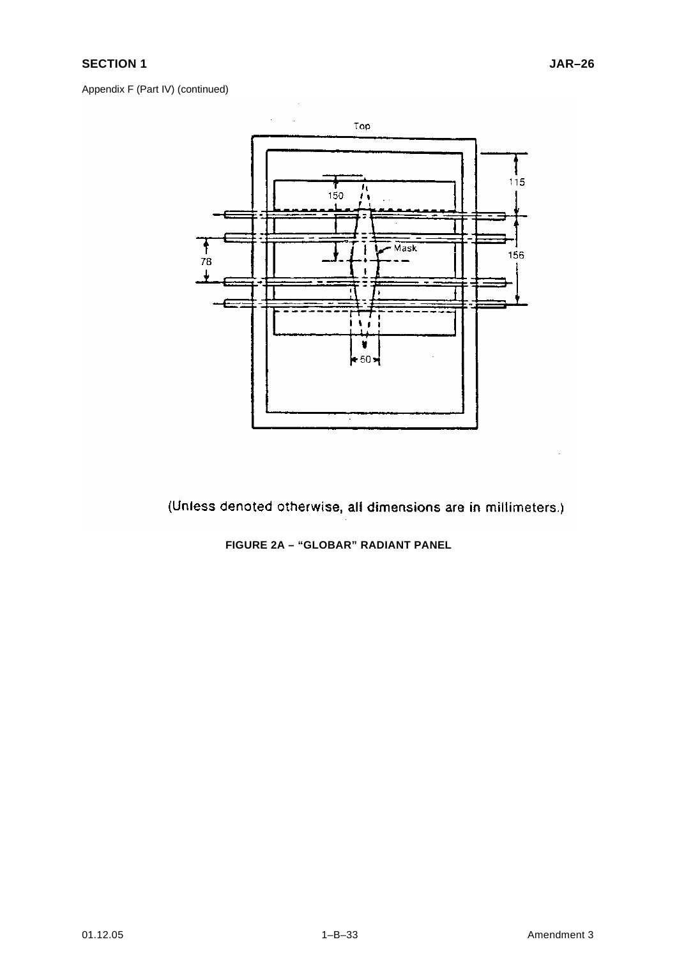

(Unless denoted otherwise, all dimensions are in millimeters.)

**FIGURE 2A – "GLOBAR" RADIANT PANEL**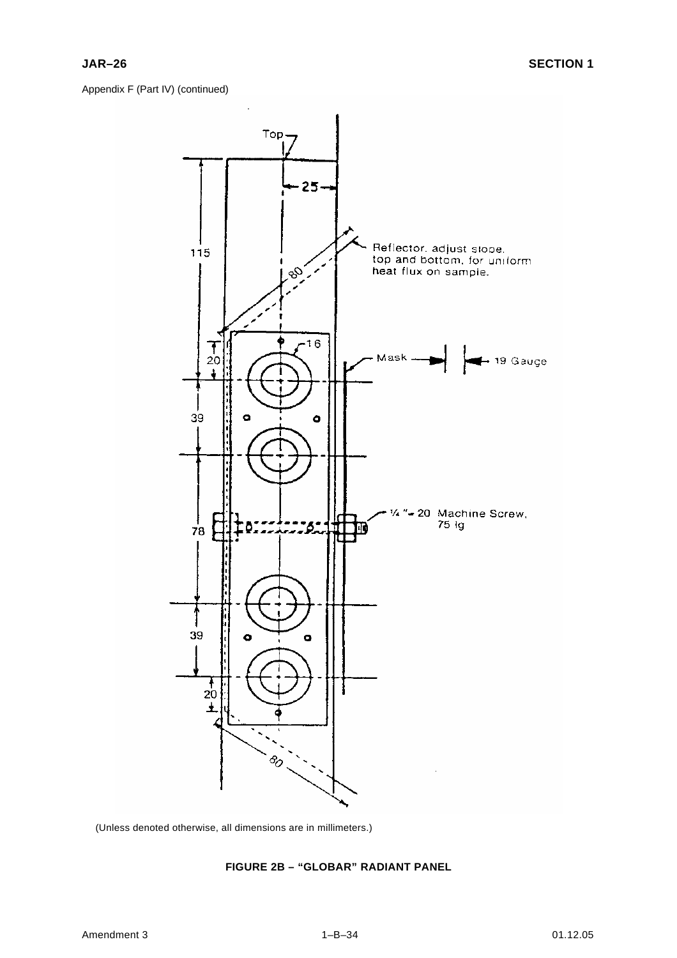

(Unless denoted otherwise, all dimensions are in millimeters.)

## **FIGURE 2B – "GLOBAR" RADIANT PANEL**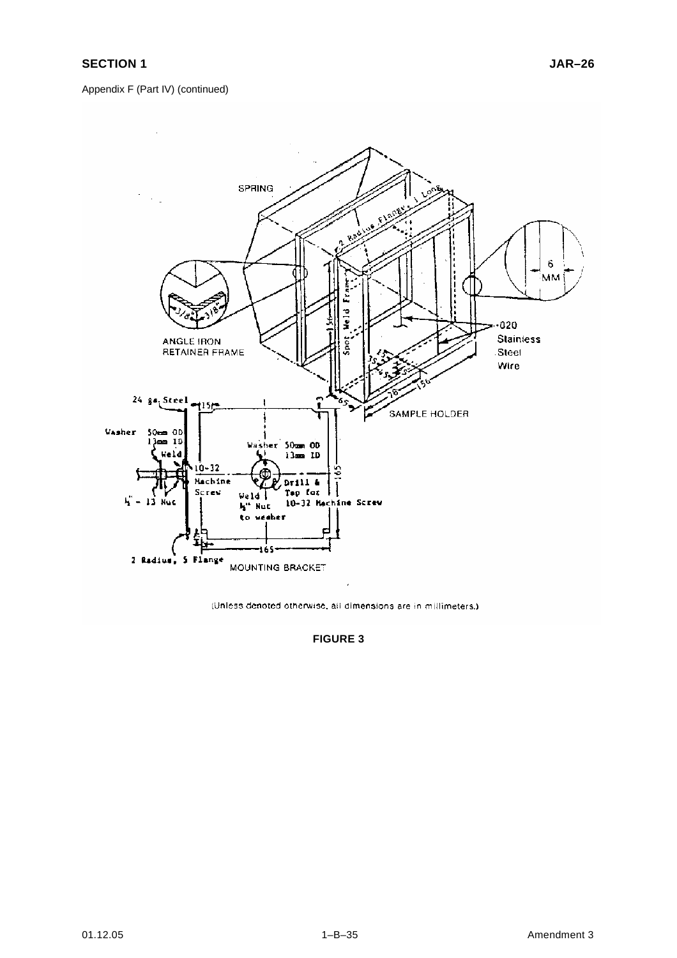

**FIGURE 3**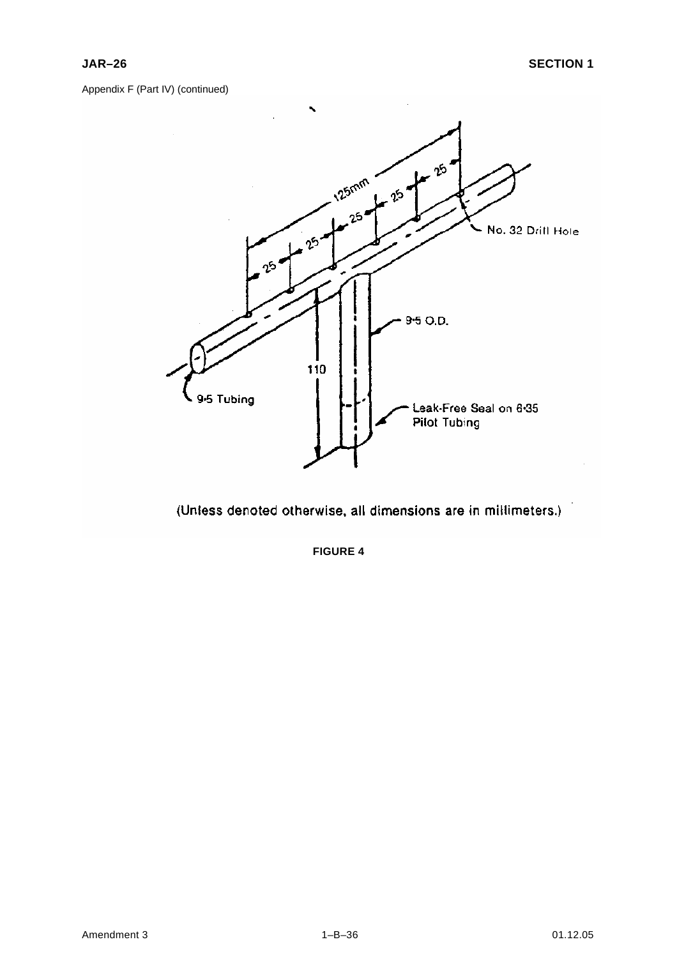

(Unless denoted otherwise, all dimensions are in millimeters.)

**FIGURE 4**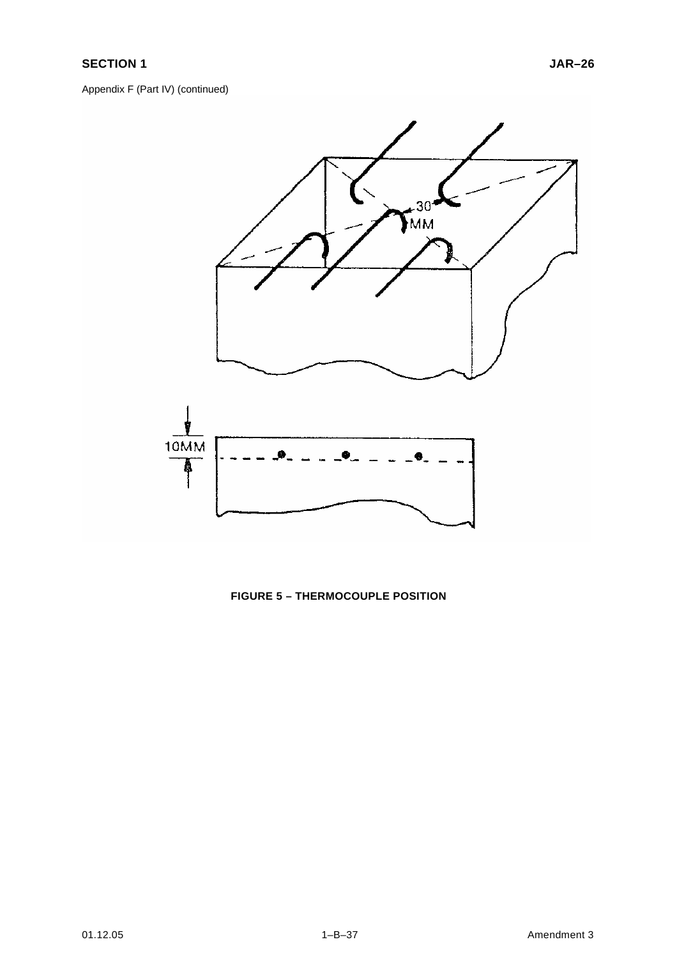

**FIGURE 5 – THERMOCOUPLE POSITION**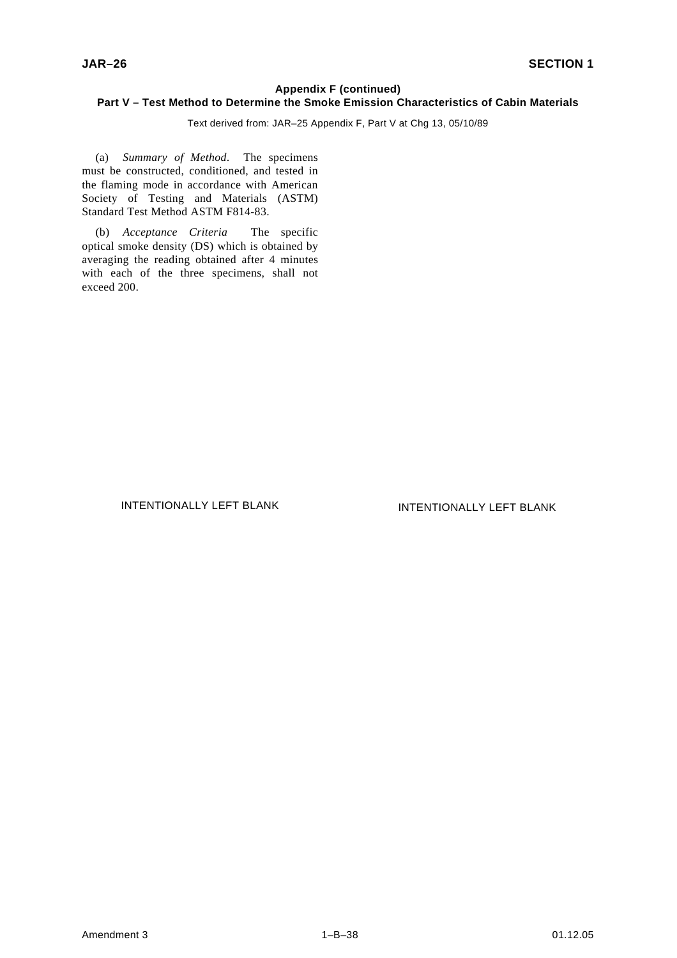## **Appendix F (continued) Part V – Test Method to Determine the Smoke Emission Characteristics of Cabin Materials**

Text derived from: JAR–25 Appendix F, Part V at Chg 13, 05/10/89

(a) *Summary of Method*. The specimens must be constructed, conditioned, and tested in the flaming mode in accordance with American Society of Testing and Materials (ASTM) Standard Test Method ASTM F814-83.

(b) *Acceptance Criteria* The specific optical smoke density (DS) which is obtained by averaging the reading obtained after 4 minutes with each of the three specimens, shall not exceed 200.

INTENTIONALLY LEFT BLANK

INTENTIONALLY LEFT BLANK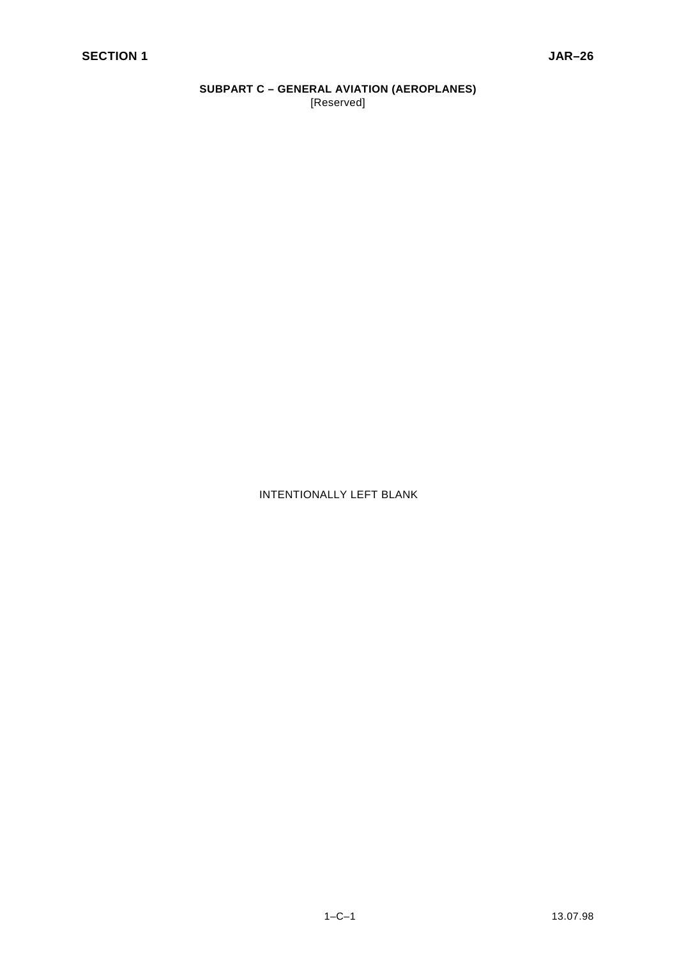# **SUBPART C – GENERAL AVIATION (AEROPLANES)** [Reserved]

INTENTIONALLY LEFT BLANK

1–C−1 13.07.98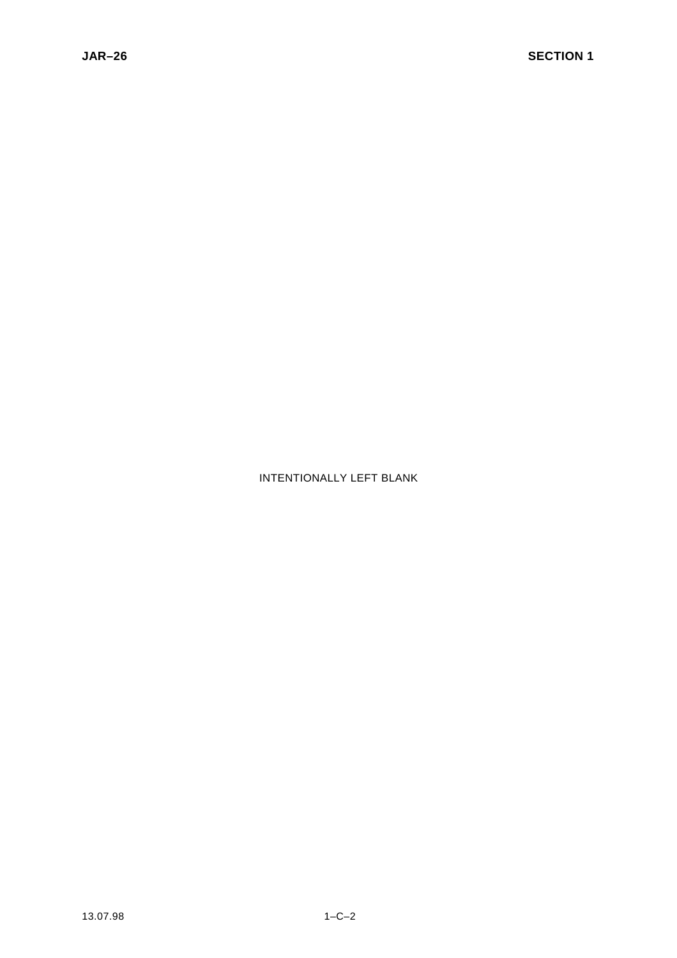# INTENTIONALLY LEFT BLANK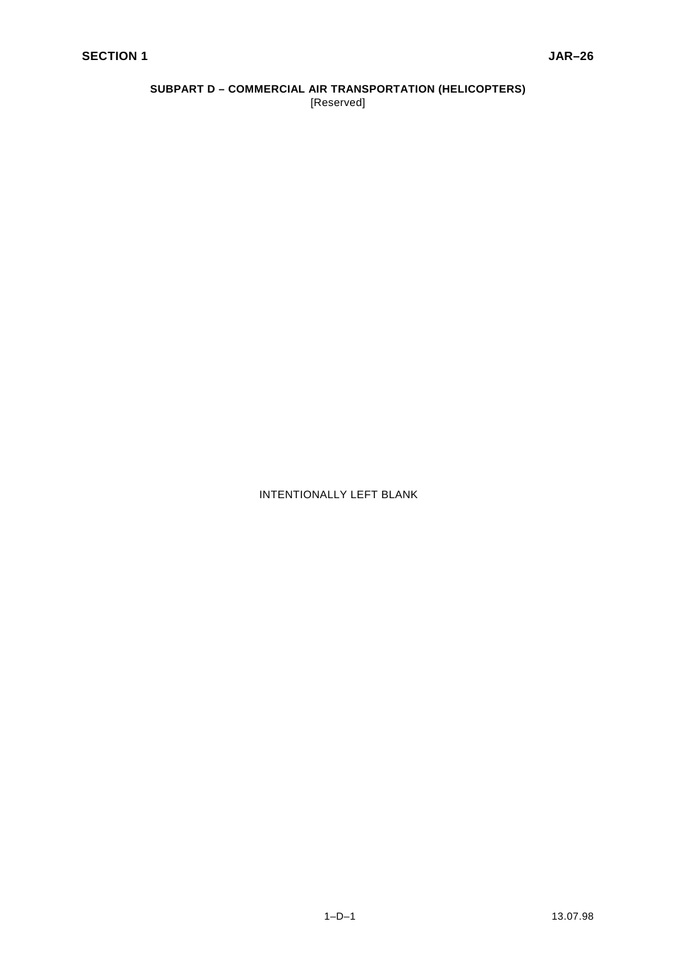# **SUBPART D – COMMERCIAL AIR TRANSPORTATION (HELICOPTERS)** [Reserved]

INTENTIONALLY LEFT BLANK

1<sup>−</sup>D<sup>−1</sup> 13.07.98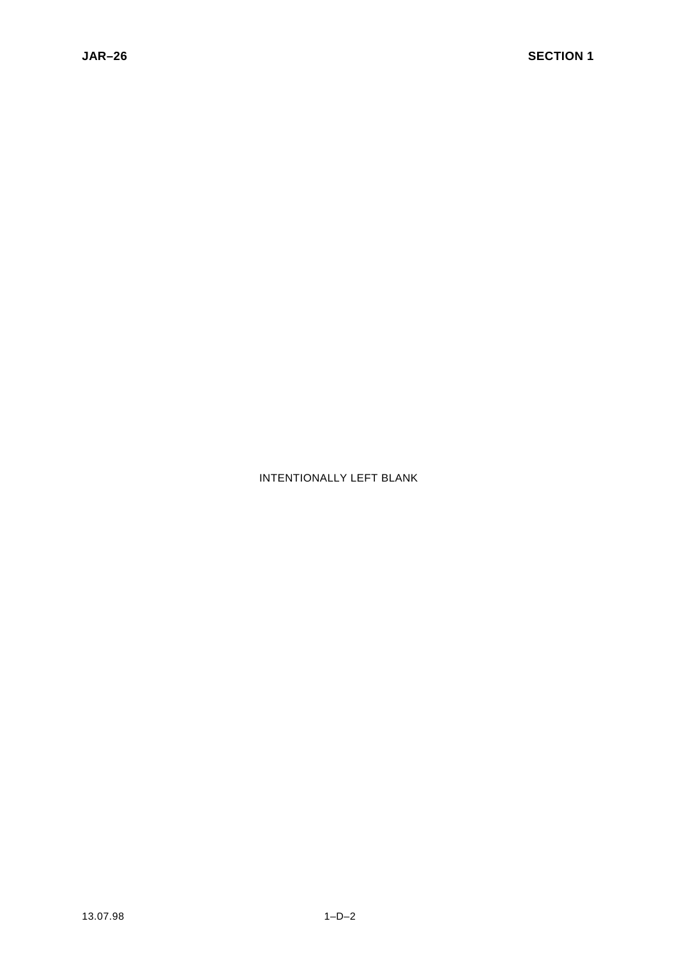# INTENTIONALLY LEFT BLANK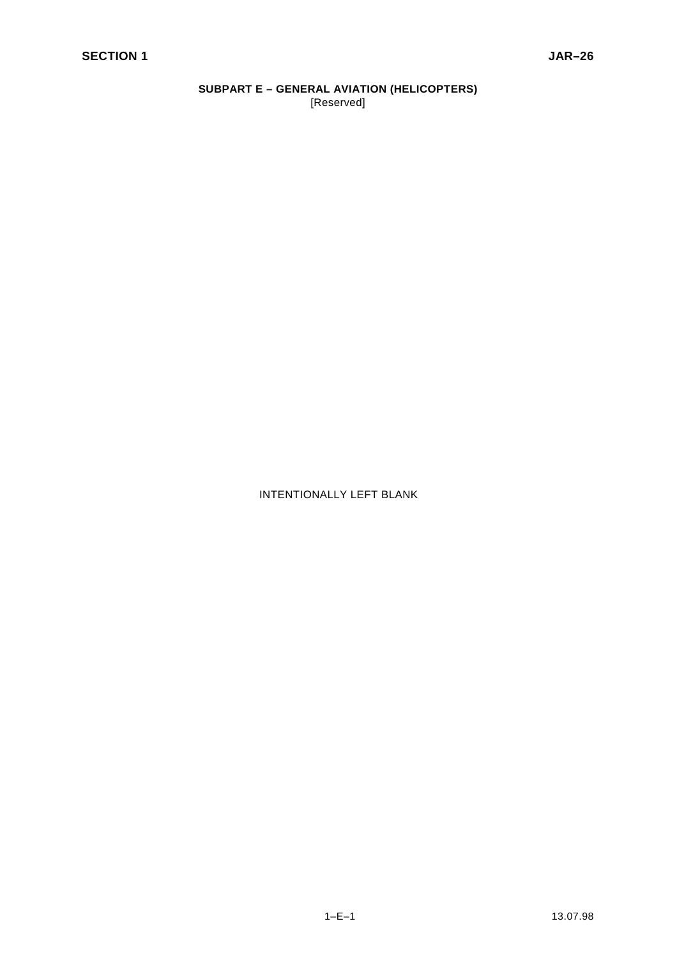# **SUBPART E – GENERAL AVIATION (HELICOPTERS)** [Reserved]

INTENTIONALLY LEFT BLANK

1–E–1 13.07.98